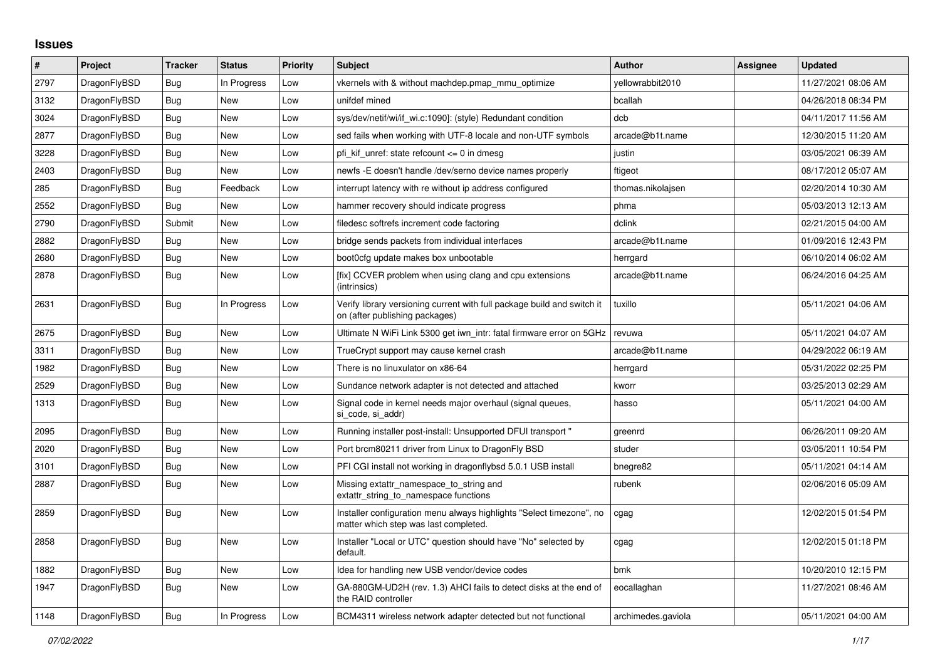## **Issues**

| $\#$ | Project      | <b>Tracker</b> | <b>Status</b> | <b>Priority</b> | <b>Subject</b>                                                                                                | <b>Author</b>      | Assignee | <b>Updated</b>      |
|------|--------------|----------------|---------------|-----------------|---------------------------------------------------------------------------------------------------------------|--------------------|----------|---------------------|
| 2797 | DragonFlyBSD | Bug            | In Progress   | Low             | vkernels with & without machdep.pmap_mmu_optimize                                                             | vellowrabbit2010   |          | 11/27/2021 08:06 AM |
| 3132 | DragonFlyBSD | Bug            | <b>New</b>    | Low             | unifdef mined                                                                                                 | bcallah            |          | 04/26/2018 08:34 PM |
| 3024 | DragonFlyBSD | Bug            | <b>New</b>    | Low             | sys/dev/netif/wi/if wi.c:1090]: (style) Redundant condition                                                   | dcb                |          | 04/11/2017 11:56 AM |
| 2877 | DragonFlyBSD | <b>Bug</b>     | <b>New</b>    | Low             | sed fails when working with UTF-8 locale and non-UTF symbols                                                  | arcade@b1t.name    |          | 12/30/2015 11:20 AM |
| 3228 | DragonFlyBSD | Bug            | <b>New</b>    | Low             | pfi kif unref: state refcount $\leq 0$ in dmesg                                                               | justin             |          | 03/05/2021 06:39 AM |
| 2403 | DragonFlyBSD | Bug            | <b>New</b>    | Low             | newfs - E doesn't handle / dev/serno device names properly                                                    | ftigeot            |          | 08/17/2012 05:07 AM |
| 285  | DragonFlyBSD | Bug            | Feedback      | Low             | interrupt latency with re without ip address configured                                                       | thomas.nikolajsen  |          | 02/20/2014 10:30 AM |
| 2552 | DragonFlyBSD | Bug            | <b>New</b>    | Low             | hammer recovery should indicate progress                                                                      | phma               |          | 05/03/2013 12:13 AM |
| 2790 | DragonFlyBSD | Submit         | New           | Low             | filedesc softrefs increment code factoring                                                                    | dclink             |          | 02/21/2015 04:00 AM |
| 2882 | DragonFlyBSD | Bug            | New           | Low             | bridge sends packets from individual interfaces                                                               | arcade@b1t.name    |          | 01/09/2016 12:43 PM |
| 2680 | DragonFlyBSD | Bug            | <b>New</b>    | Low             | boot0cfg update makes box unbootable                                                                          | herrgard           |          | 06/10/2014 06:02 AM |
| 2878 | DragonFlyBSD | Bug            | <b>New</b>    | Low             | [fix] CCVER problem when using clang and cpu extensions<br>(intrinsics)                                       | arcade@b1t.name    |          | 06/24/2016 04:25 AM |
| 2631 | DragonFlyBSD | <b>Bug</b>     | In Progress   | Low             | Verify library versioning current with full package build and switch it<br>on (after publishing packages)     | tuxillo            |          | 05/11/2021 04:06 AM |
| 2675 | DragonFlyBSD | <b>Bug</b>     | <b>New</b>    | Low             | Ultimate N WiFi Link 5300 get iwn_intr: fatal firmware error on 5GHz                                          | revuwa             |          | 05/11/2021 04:07 AM |
| 3311 | DragonFlyBSD | <b>Bug</b>     | <b>New</b>    | Low             | TrueCrypt support may cause kernel crash                                                                      | arcade@b1t.name    |          | 04/29/2022 06:19 AM |
| 1982 | DragonFlyBSD | Bug            | <b>New</b>    | Low             | There is no linuxulator on x86-64                                                                             | herrgard           |          | 05/31/2022 02:25 PM |
| 2529 | DragonFlyBSD | Bug            | <b>New</b>    | Low             | Sundance network adapter is not detected and attached                                                         | kworr              |          | 03/25/2013 02:29 AM |
| 1313 | DragonFlyBSD | Bug            | New           | Low             | Signal code in kernel needs major overhaul (signal queues,<br>si code, si addr)                               | hasso              |          | 05/11/2021 04:00 AM |
| 2095 | DragonFlyBSD | Bug            | <b>New</b>    | Low             | Running installer post-install: Unsupported DFUI transport "                                                  | greenrd            |          | 06/26/2011 09:20 AM |
| 2020 | DragonFlyBSD | <b>Bug</b>     | <b>New</b>    | Low             | Port brcm80211 driver from Linux to DragonFly BSD                                                             | studer             |          | 03/05/2011 10:54 PM |
| 3101 | DragonFlyBSD | Bug            | New           | Low             | PFI CGI install not working in dragonflybsd 5.0.1 USB install                                                 | bnegre82           |          | 05/11/2021 04:14 AM |
| 2887 | DragonFlyBSD | Bug            | <b>New</b>    | Low             | Missing extattr_namespace_to_string and<br>extattr_string_to_namespace functions                              | rubenk             |          | 02/06/2016 05:09 AM |
| 2859 | DragonFlyBSD | <b>Bug</b>     | <b>New</b>    | Low             | Installer configuration menu always highlights "Select timezone", no<br>matter which step was last completed. | cgag               |          | 12/02/2015 01:54 PM |
| 2858 | DragonFlyBSD | <b>Bug</b>     | <b>New</b>    | Low             | Installer "Local or UTC" question should have "No" selected by<br>default.                                    | cgag               |          | 12/02/2015 01:18 PM |
| 1882 | DragonFlyBSD | Bug            | <b>New</b>    | Low             | Idea for handling new USB vendor/device codes                                                                 | bmk                |          | 10/20/2010 12:15 PM |
| 1947 | DragonFlyBSD | Bug            | New           | Low             | GA-880GM-UD2H (rev. 1.3) AHCI fails to detect disks at the end of<br>the RAID controller                      | eocallaghan        |          | 11/27/2021 08:46 AM |
| 1148 | DragonFlyBSD | Bug            | In Progress   | Low             | BCM4311 wireless network adapter detected but not functional                                                  | archimedes.gaviola |          | 05/11/2021 04:00 AM |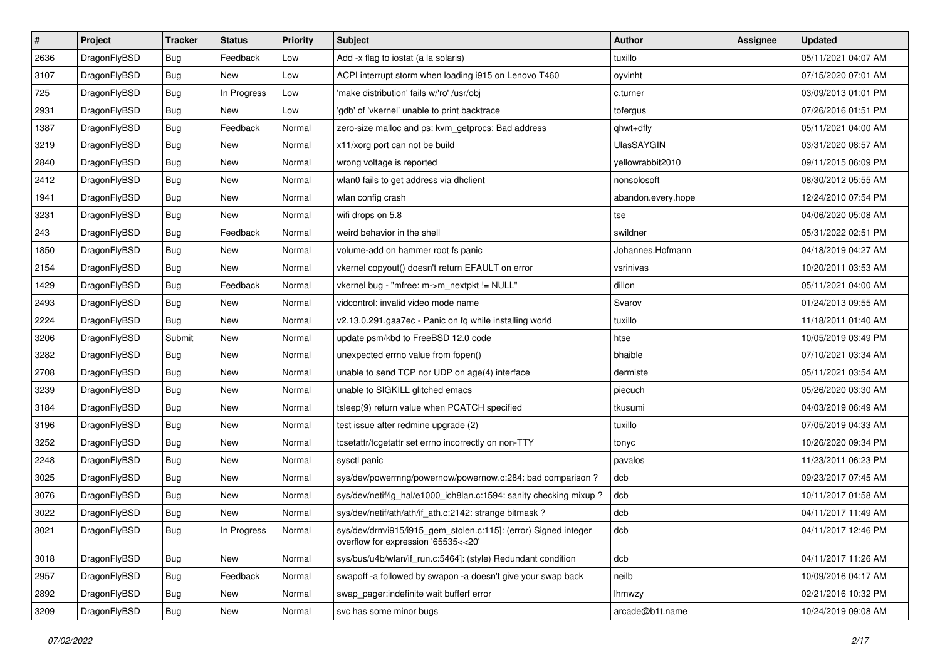| $\sharp$ | Project      | <b>Tracker</b> | <b>Status</b> | <b>Priority</b> | Subject                                                                                                | <b>Author</b>      | Assignee | <b>Updated</b>      |
|----------|--------------|----------------|---------------|-----------------|--------------------------------------------------------------------------------------------------------|--------------------|----------|---------------------|
| 2636     | DragonFlyBSD | Bug            | Feedback      | Low             | Add -x flag to iostat (a la solaris)                                                                   | tuxillo            |          | 05/11/2021 04:07 AM |
| 3107     | DragonFlyBSD | Bug            | <b>New</b>    | Low             | ACPI interrupt storm when loading i915 on Lenovo T460                                                  | oyvinht            |          | 07/15/2020 07:01 AM |
| 725      | DragonFlyBSD | <b>Bug</b>     | In Progress   | Low             | 'make distribution' fails w/'ro' /usr/obj                                                              | c.turner           |          | 03/09/2013 01:01 PM |
| 2931     | DragonFlyBSD | <b>Bug</b>     | New           | Low             | 'gdb' of 'vkernel' unable to print backtrace                                                           | tofergus           |          | 07/26/2016 01:51 PM |
| 1387     | DragonFlyBSD | Bug            | Feedback      | Normal          | zero-size malloc and ps: kvm_getprocs: Bad address                                                     | qhwt+dfly          |          | 05/11/2021 04:00 AM |
| 3219     | DragonFlyBSD | <b>Bug</b>     | <b>New</b>    | Normal          | x11/xorg port can not be build                                                                         | <b>UlasSAYGIN</b>  |          | 03/31/2020 08:57 AM |
| 2840     | DragonFlyBSD | Bug            | New           | Normal          | wrong voltage is reported                                                                              | yellowrabbit2010   |          | 09/11/2015 06:09 PM |
| 2412     | DragonFlyBSD | <b>Bug</b>     | <b>New</b>    | Normal          | wlan0 fails to get address via dhclient                                                                | nonsolosoft        |          | 08/30/2012 05:55 AM |
| 1941     | DragonFlyBSD | <b>Bug</b>     | New           | Normal          | wlan config crash                                                                                      | abandon.every.hope |          | 12/24/2010 07:54 PM |
| 3231     | DragonFlyBSD | Bug            | New           | Normal          | wifi drops on 5.8                                                                                      | tse                |          | 04/06/2020 05:08 AM |
| 243      | DragonFlyBSD | Bug            | Feedback      | Normal          | weird behavior in the shell                                                                            | swildner           |          | 05/31/2022 02:51 PM |
| 1850     | DragonFlyBSD | Bug            | <b>New</b>    | Normal          | volume-add on hammer root fs panic                                                                     | Johannes.Hofmann   |          | 04/18/2019 04:27 AM |
| 2154     | DragonFlyBSD | Bug            | New           | Normal          | vkernel copyout() doesn't return EFAULT on error                                                       | vsrinivas          |          | 10/20/2011 03:53 AM |
| 1429     | DragonFlyBSD | Bug            | Feedback      | Normal          | vkernel bug - "mfree: m->m_nextpkt != NULL"                                                            | dillon             |          | 05/11/2021 04:00 AM |
| 2493     | DragonFlyBSD | <b>Bug</b>     | New           | Normal          | vidcontrol: invalid video mode name                                                                    | Svarov             |          | 01/24/2013 09:55 AM |
| 2224     | DragonFlyBSD | Bug            | New           | Normal          | v2.13.0.291.gaa7ec - Panic on fq while installing world                                                | tuxillo            |          | 11/18/2011 01:40 AM |
| 3206     | DragonFlyBSD | Submit         | New           | Normal          | update psm/kbd to FreeBSD 12.0 code                                                                    | htse               |          | 10/05/2019 03:49 PM |
| 3282     | DragonFlyBSD | <b>Bug</b>     | New           | Normal          | unexpected errno value from fopen()                                                                    | bhaible            |          | 07/10/2021 03:34 AM |
| 2708     | DragonFlyBSD | Bug            | <b>New</b>    | Normal          | unable to send TCP nor UDP on age(4) interface                                                         | dermiste           |          | 05/11/2021 03:54 AM |
| 3239     | DragonFlyBSD | Bug            | New           | Normal          | unable to SIGKILL glitched emacs                                                                       | piecuch            |          | 05/26/2020 03:30 AM |
| 3184     | DragonFlyBSD | <b>Bug</b>     | <b>New</b>    | Normal          | tsleep(9) return value when PCATCH specified                                                           | tkusumi            |          | 04/03/2019 06:49 AM |
| 3196     | DragonFlyBSD | <b>Bug</b>     | New           | Normal          | test issue after redmine upgrade (2)                                                                   | tuxillo            |          | 07/05/2019 04:33 AM |
| 3252     | DragonFlyBSD | Bug            | <b>New</b>    | Normal          | tcsetattr/tcgetattr set errno incorrectly on non-TTY                                                   | tonyc              |          | 10/26/2020 09:34 PM |
| 2248     | DragonFlyBSD | <b>Bug</b>     | New           | Normal          | sysctl panic                                                                                           | pavalos            |          | 11/23/2011 06:23 PM |
| 3025     | DragonFlyBSD | Bug            | New           | Normal          | sys/dev/powermng/powernow/powernow.c:284: bad comparison?                                              | dcb                |          | 09/23/2017 07:45 AM |
| 3076     | DragonFlyBSD | Bug            | <b>New</b>    | Normal          | sys/dev/netif/ig_hal/e1000_ich8lan.c:1594: sanity checking mixup?                                      | dcb                |          | 10/11/2017 01:58 AM |
| 3022     | DragonFlyBSD | Bug            | New           | Normal          | sys/dev/netif/ath/ath/if_ath.c:2142: strange bitmask?                                                  | dcb                |          | 04/11/2017 11:49 AM |
| 3021     | DragonFlyBSD | <b>Bug</b>     | In Progress   | Normal          | sys/dev/drm/i915/i915_gem_stolen.c:115]: (error) Signed integer<br>overflow for expression '65535<<20' | dcb                |          | 04/11/2017 12:46 PM |
| 3018     | DragonFlyBSD | <b>Bug</b>     | New           | Normal          | sys/bus/u4b/wlan/if_run.c:5464]: (style) Redundant condition                                           | dcb                |          | 04/11/2017 11:26 AM |
| 2957     | DragonFlyBSD | Bug            | Feedback      | Normal          | swapoff -a followed by swapon -a doesn't give your swap back                                           | neilb              |          | 10/09/2016 04:17 AM |
| 2892     | DragonFlyBSD | <b>Bug</b>     | <b>New</b>    | Normal          | swap_pager:indefinite wait bufferf error                                                               | Ihmwzy             |          | 02/21/2016 10:32 PM |
| 3209     | DragonFlyBSD | <b>Bug</b>     | New           | Normal          | svc has some minor bugs                                                                                | arcade@b1t.name    |          | 10/24/2019 09:08 AM |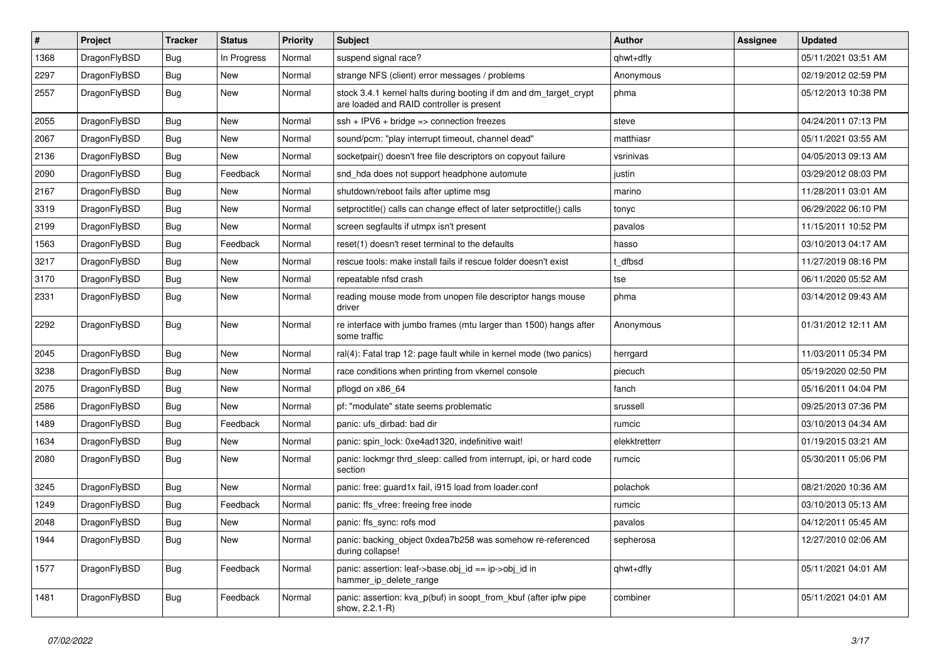| $\sharp$ | Project      | <b>Tracker</b> | <b>Status</b> | <b>Priority</b> | Subject                                                                                                        | <b>Author</b> | Assignee | <b>Updated</b>      |
|----------|--------------|----------------|---------------|-----------------|----------------------------------------------------------------------------------------------------------------|---------------|----------|---------------------|
| 1368     | DragonFlyBSD | Bug            | In Progress   | Normal          | suspend signal race?                                                                                           | qhwt+dfly     |          | 05/11/2021 03:51 AM |
| 2297     | DragonFlyBSD | Bug            | <b>New</b>    | Normal          | strange NFS (client) error messages / problems                                                                 | Anonymous     |          | 02/19/2012 02:59 PM |
| 2557     | DragonFlyBSD | <b>Bug</b>     | New           | Normal          | stock 3.4.1 kernel halts during booting if dm and dm_target_crypt<br>are loaded and RAID controller is present | phma          |          | 05/12/2013 10:38 PM |
| 2055     | DragonFlyBSD | Bug            | <b>New</b>    | Normal          | ssh + IPV6 + bridge => connection freezes                                                                      | steve         |          | 04/24/2011 07:13 PM |
| 2067     | DragonFlyBSD | Bug            | New           | Normal          | sound/pcm: "play interrupt timeout, channel dead"                                                              | matthiasr     |          | 05/11/2021 03:55 AM |
| 2136     | DragonFlyBSD | Bug            | New           | Normal          | socketpair() doesn't free file descriptors on copyout failure                                                  | vsrinivas     |          | 04/05/2013 09:13 AM |
| 2090     | DragonFlyBSD | Bug            | Feedback      | Normal          | snd hda does not support headphone automute                                                                    | justin        |          | 03/29/2012 08:03 PM |
| 2167     | DragonFlyBSD | Bug            | New           | Normal          | shutdown/reboot fails after uptime msg                                                                         | marino        |          | 11/28/2011 03:01 AM |
| 3319     | DragonFlyBSD | Bug            | New           | Normal          | setproctitle() calls can change effect of later setproctitle() calls                                           | tonyc         |          | 06/29/2022 06:10 PM |
| 2199     | DragonFlyBSD | Bug            | New           | Normal          | screen segfaults if utmpx isn't present                                                                        | pavalos       |          | 11/15/2011 10:52 PM |
| 1563     | DragonFlyBSD | Bug            | Feedback      | Normal          | reset(1) doesn't reset terminal to the defaults                                                                | hasso         |          | 03/10/2013 04:17 AM |
| 3217     | DragonFlyBSD | <b>Bug</b>     | New           | Normal          | rescue tools: make install fails if rescue folder doesn't exist                                                | t dfbsd       |          | 11/27/2019 08:16 PM |
| 3170     | DragonFlyBSD | <b>Bug</b>     | <b>New</b>    | Normal          | repeatable nfsd crash                                                                                          | tse           |          | 06/11/2020 05:52 AM |
| 2331     | DragonFlyBSD | Bug            | New           | Normal          | reading mouse mode from unopen file descriptor hangs mouse<br>driver                                           | phma          |          | 03/14/2012 09:43 AM |
| 2292     | DragonFlyBSD | Bug            | New           | Normal          | re interface with jumbo frames (mtu larger than 1500) hangs after<br>some traffic                              | Anonymous     |          | 01/31/2012 12:11 AM |
| 2045     | DragonFlyBSD | Bug            | <b>New</b>    | Normal          | ral(4): Fatal trap 12: page fault while in kernel mode (two panics)                                            | herrgard      |          | 11/03/2011 05:34 PM |
| 3238     | DragonFlyBSD | <b>Bug</b>     | New           | Normal          | race conditions when printing from vkernel console                                                             | piecuch       |          | 05/19/2020 02:50 PM |
| 2075     | DragonFlyBSD | <b>Bug</b>     | New           | Normal          | pflogd on x86 64                                                                                               | fanch         |          | 05/16/2011 04:04 PM |
| 2586     | DragonFlyBSD | <b>Bug</b>     | New           | Normal          | pf: "modulate" state seems problematic                                                                         | srussell      |          | 09/25/2013 07:36 PM |
| 1489     | DragonFlyBSD | Bug            | Feedback      | Normal          | panic: ufs dirbad: bad dir                                                                                     | rumcic        |          | 03/10/2013 04:34 AM |
| 1634     | DragonFlyBSD | <b>Bug</b>     | New           | Normal          | panic: spin_lock: 0xe4ad1320, indefinitive wait!                                                               | elekktretterr |          | 01/19/2015 03:21 AM |
| 2080     | DragonFlyBSD | <b>Bug</b>     | New           | Normal          | panic: lockmgr thrd sleep: called from interrupt, ipi, or hard code<br>section                                 | rumcic        |          | 05/30/2011 05:06 PM |
| 3245     | DragonFlyBSD | Bug            | New           | Normal          | panic: free: guard1x fail, i915 load from loader.conf                                                          | polachok      |          | 08/21/2020 10:36 AM |
| 1249     | DragonFlyBSD | <b>Bug</b>     | Feedback      | Normal          | panic: ffs vfree: freeing free inode                                                                           | rumcic        |          | 03/10/2013 05:13 AM |
| 2048     | DragonFlyBSD | Bug            | New           | Normal          | panic: ffs_sync: rofs mod                                                                                      | pavalos       |          | 04/12/2011 05:45 AM |
| 1944     | DragonFlyBSD | <b>Bug</b>     | New           | Normal          | panic: backing_object 0xdea7b258 was somehow re-referenced<br>during collapse!                                 | sepherosa     |          | 12/27/2010 02:06 AM |
| 1577     | DragonFlyBSD | <b>Bug</b>     | Feedback      | Normal          | panic: assertion: leaf->base.obj_id == ip->obj_id in<br>hammer_ip_delete_range                                 | qhwt+dfly     |          | 05/11/2021 04:01 AM |
| 1481     | DragonFlyBSD | <b>Bug</b>     | Feedback      | Normal          | panic: assertion: kva_p(buf) in soopt_from_kbuf (after ipfw pipe<br>show, 2.2.1-R)                             | combiner      |          | 05/11/2021 04:01 AM |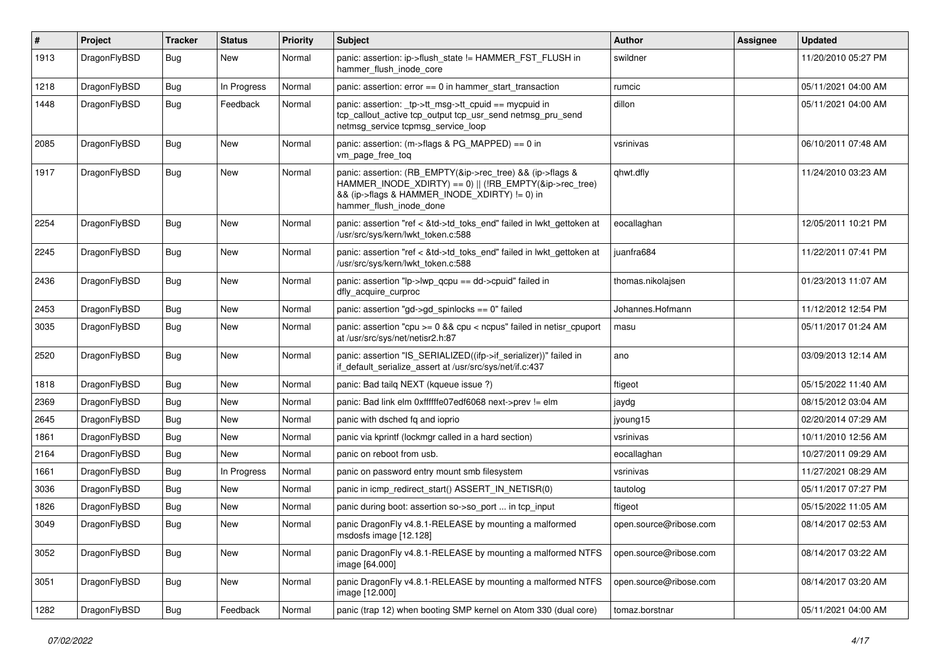| $\vert$ # | Project      | Tracker    | <b>Status</b> | <b>Priority</b> | Subject                                                                                                                                                                                           | Author                 | Assignee | <b>Updated</b>      |
|-----------|--------------|------------|---------------|-----------------|---------------------------------------------------------------------------------------------------------------------------------------------------------------------------------------------------|------------------------|----------|---------------------|
| 1913      | DragonFlyBSD | Bug        | New           | Normal          | panic: assertion: ip->flush state != HAMMER FST FLUSH in<br>hammer_flush_inode_core                                                                                                               | swildner               |          | 11/20/2010 05:27 PM |
| 1218      | DragonFlyBSD | <b>Bug</b> | In Progress   | Normal          | panic: assertion: $error == 0$ in hammer start transaction                                                                                                                                        | rumcic                 |          | 05/11/2021 04:00 AM |
| 1448      | DragonFlyBSD | Bug        | Feedback      | Normal          | panic: assertion: _tp->tt_msg->tt_cpuid == mycpuid in<br>tcp_callout_active tcp_output tcp_usr_send netmsg_pru_send<br>netmsg service tcpmsg service loop                                         | dillon                 |          | 05/11/2021 04:00 AM |
| 2085      | DragonFlyBSD | Bug        | <b>New</b>    | Normal          | panic: assertion: (m->flags & PG_MAPPED) == 0 in<br>vm_page_free_toq                                                                                                                              | vsrinivas              |          | 06/10/2011 07:48 AM |
| 1917      | DragonFlyBSD | Bug        | <b>New</b>    | Normal          | panic: assertion: (RB_EMPTY(&ip->rec_tree) && (ip->flags &<br>HAMMER_INODE_XDIRTY) == 0)    (!RB_EMPTY(&ip->rec_tree)<br>&& (ip->flags & HAMMER_INODE_XDIRTY) != 0) in<br>hammer_flush_inode_done | qhwt.dfly              |          | 11/24/2010 03:23 AM |
| 2254      | DragonFlyBSD | Bug        | New           | Normal          | panic: assertion "ref < &td->td_toks_end" failed in lwkt_gettoken at<br>/usr/src/sys/kern/lwkt_token.c:588                                                                                        | eocallaghan            |          | 12/05/2011 10:21 PM |
| 2245      | DragonFlyBSD | Bug        | <b>New</b>    | Normal          | panic: assertion "ref < &td->td_toks_end" failed in lwkt_gettoken at<br>/usr/src/sys/kern/lwkt_token.c:588                                                                                        | juanfra684             |          | 11/22/2011 07:41 PM |
| 2436      | DragonFlyBSD | Bug        | New           | Normal          | panic: assertion " $lp$ -> $lwp$ gcpu == dd->cpuid" failed in<br>dfly acquire curproc                                                                                                             | thomas.nikolajsen      |          | 01/23/2013 11:07 AM |
| 2453      | DragonFlyBSD | <b>Bug</b> | <b>New</b>    | Normal          | panic: assertion "gd->gd_spinlocks == 0" failed                                                                                                                                                   | Johannes.Hofmann       |          | 11/12/2012 12:54 PM |
| 3035      | DragonFlyBSD | <b>Bug</b> | New           | Normal          | panic: assertion "cpu $>= 0$ && cpu $<$ ncpus" failed in netisr cpuport<br>at /usr/src/sys/net/netisr2.h:87                                                                                       | masu                   |          | 05/11/2017 01:24 AM |
| 2520      | DragonFlyBSD | Bug        | New           | Normal          | panic: assertion "IS_SERIALIZED((ifp->if_serializer))" failed in<br>if_default_serialize_assert at /usr/src/sys/net/if.c:437                                                                      | ano                    |          | 03/09/2013 12:14 AM |
| 1818      | DragonFlyBSD | Bug        | <b>New</b>    | Normal          | panic: Bad tailg NEXT (kqueue issue ?)                                                                                                                                                            | ftigeot                |          | 05/15/2022 11:40 AM |
| 2369      | DragonFlyBSD | <b>Bug</b> | New           | Normal          | panic: Bad link elm 0xffffffe07edf6068 next->prev != elm                                                                                                                                          | jaydg                  |          | 08/15/2012 03:04 AM |
| 2645      | DragonFlyBSD | Bug        | New           | Normal          | panic with dsched fq and ioprio                                                                                                                                                                   | jyoung15               |          | 02/20/2014 07:29 AM |
| 1861      | DragonFlyBSD | <b>Bug</b> | <b>New</b>    | Normal          | panic via kprintf (lockmgr called in a hard section)                                                                                                                                              | vsrinivas              |          | 10/11/2010 12:56 AM |
| 2164      | DragonFlyBSD | <b>Bug</b> | New           | Normal          | panic on reboot from usb.                                                                                                                                                                         | eocallaghan            |          | 10/27/2011 09:29 AM |
| 1661      | DragonFlyBSD | Bug        | In Progress   | Normal          | panic on password entry mount smb filesystem                                                                                                                                                      | vsrinivas              |          | 11/27/2021 08:29 AM |
| 3036      | DragonFlyBSD | <b>Bug</b> | New           | Normal          | panic in icmp_redirect_start() ASSERT_IN_NETISR(0)                                                                                                                                                | tautolog               |          | 05/11/2017 07:27 PM |
| 1826      | DragonFlyBSD | Bug        | <b>New</b>    | Normal          | panic during boot: assertion so->so port  in tcp input                                                                                                                                            | ftigeot                |          | 05/15/2022 11:05 AM |
| 3049      | DragonFlyBSD | <b>Bug</b> | <b>New</b>    | Normal          | panic DragonFly v4.8.1-RELEASE by mounting a malformed<br>msdosfs image [12.128]                                                                                                                  | open.source@ribose.com |          | 08/14/2017 02:53 AM |
| 3052      | DragonFlyBSD | <b>Bug</b> | New           | Normal          | panic DragonFly v4.8.1-RELEASE by mounting a malformed NTFS<br>image [64.000]                                                                                                                     | open.source@ribose.com |          | 08/14/2017 03:22 AM |
| 3051      | DragonFlyBSD | <b>Bug</b> | New           | Normal          | panic DragonFly v4.8.1-RELEASE by mounting a malformed NTFS<br>image [12.000]                                                                                                                     | open.source@ribose.com |          | 08/14/2017 03:20 AM |
| 1282      | DragonFlyBSD | <b>Bug</b> | Feedback      | Normal          | panic (trap 12) when booting SMP kernel on Atom 330 (dual core)                                                                                                                                   | tomaz.borstnar         |          | 05/11/2021 04:00 AM |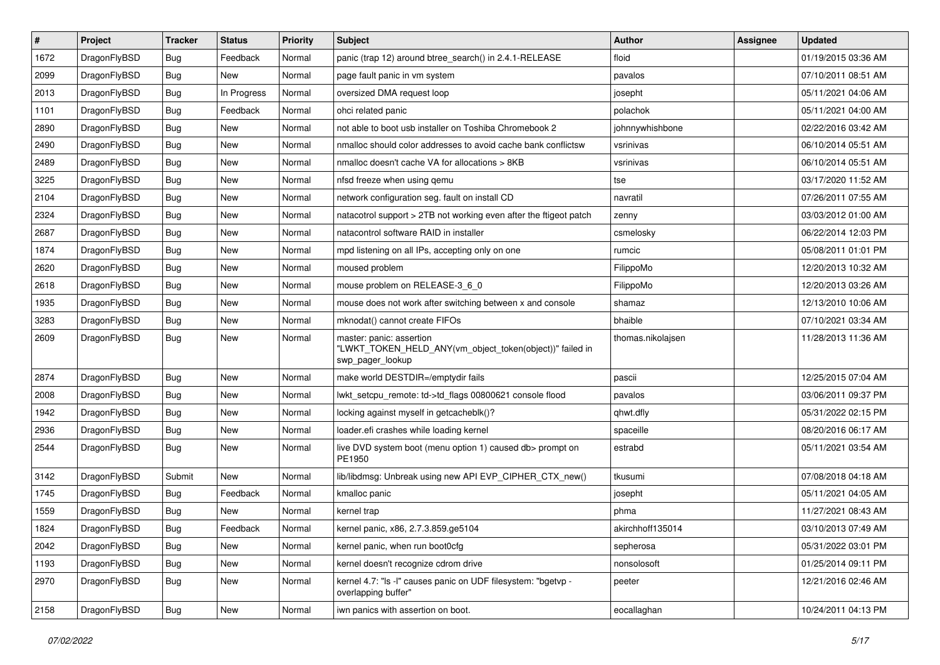| $\sharp$ | Project      | <b>Tracker</b> | <b>Status</b> | <b>Priority</b> | Subject                                                                                                  | <b>Author</b>     | Assignee | <b>Updated</b>      |
|----------|--------------|----------------|---------------|-----------------|----------------------------------------------------------------------------------------------------------|-------------------|----------|---------------------|
| 1672     | DragonFlyBSD | <b>Bug</b>     | Feedback      | Normal          | panic (trap 12) around btree_search() in 2.4.1-RELEASE                                                   | floid             |          | 01/19/2015 03:36 AM |
| 2099     | DragonFlyBSD | Bug            | <b>New</b>    | Normal          | page fault panic in vm system                                                                            | pavalos           |          | 07/10/2011 08:51 AM |
| 2013     | DragonFlyBSD | <b>Bug</b>     | In Progress   | Normal          | oversized DMA request loop                                                                               | josepht           |          | 05/11/2021 04:06 AM |
| 1101     | DragonFlyBSD | <b>Bug</b>     | Feedback      | Normal          | ohci related panic                                                                                       | polachok          |          | 05/11/2021 04:00 AM |
| 2890     | DragonFlyBSD | Bug            | New           | Normal          | not able to boot usb installer on Toshiba Chromebook 2                                                   | johnnywhishbone   |          | 02/22/2016 03:42 AM |
| 2490     | DragonFlyBSD | <b>Bug</b>     | <b>New</b>    | Normal          | nmalloc should color addresses to avoid cache bank conflictsw                                            | vsrinivas         |          | 06/10/2014 05:51 AM |
| 2489     | DragonFlyBSD | <b>Bug</b>     | New           | Normal          | nmalloc doesn't cache VA for allocations > 8KB                                                           | vsrinivas         |          | 06/10/2014 05:51 AM |
| 3225     | DragonFlyBSD | <b>Bug</b>     | <b>New</b>    | Normal          | nfsd freeze when using qemu                                                                              | tse               |          | 03/17/2020 11:52 AM |
| 2104     | DragonFlyBSD | <b>Bug</b>     | New           | Normal          | network configuration seg. fault on install CD                                                           | navratil          |          | 07/26/2011 07:55 AM |
| 2324     | DragonFlyBSD | Bug            | <b>New</b>    | Normal          | natacotrol support > 2TB not working even after the ftigeot patch                                        | zenny             |          | 03/03/2012 01:00 AM |
| 2687     | DragonFlyBSD | <b>Bug</b>     | New           | Normal          | natacontrol software RAID in installer                                                                   | csmelosky         |          | 06/22/2014 12:03 PM |
| 1874     | DragonFlyBSD | <b>Bug</b>     | <b>New</b>    | Normal          | mpd listening on all IPs, accepting only on one                                                          | rumcic            |          | 05/08/2011 01:01 PM |
| 2620     | DragonFlyBSD | <b>Bug</b>     | <b>New</b>    | Normal          | moused problem                                                                                           | FilippoMo         |          | 12/20/2013 10:32 AM |
| 2618     | DragonFlyBSD | <b>Bug</b>     | New           | Normal          | mouse problem on RELEASE-3_6_0                                                                           | FilippoMo         |          | 12/20/2013 03:26 AM |
| 1935     | DragonFlyBSD | Bug            | New           | Normal          | mouse does not work after switching between x and console                                                | shamaz            |          | 12/13/2010 10:06 AM |
| 3283     | DragonFlyBSD | <b>Bug</b>     | New           | Normal          | mknodat() cannot create FIFOs                                                                            | bhaible           |          | 07/10/2021 03:34 AM |
| 2609     | DragonFlyBSD | <b>Bug</b>     | New           | Normal          | master: panic: assertion<br>"LWKT_TOKEN_HELD_ANY(vm_object_token(object))" failed in<br>swp_pager_lookup | thomas.nikolaisen |          | 11/28/2013 11:36 AM |
| 2874     | DragonFlyBSD | Bug            | <b>New</b>    | Normal          | make world DESTDIR=/emptydir fails                                                                       | pascii            |          | 12/25/2015 07:04 AM |
| 2008     | DragonFlyBSD | Bug            | New           | Normal          | lwkt setcpu remote: td->td flags 00800621 console flood                                                  | pavalos           |          | 03/06/2011 09:37 PM |
| 1942     | DragonFlyBSD | Bug            | New           | Normal          | locking against myself in getcacheblk()?                                                                 | qhwt.dfly         |          | 05/31/2022 02:15 PM |
| 2936     | DragonFlyBSD | Bug            | New           | Normal          | loader.efi crashes while loading kernel                                                                  | spaceille         |          | 08/20/2016 06:17 AM |
| 2544     | DragonFlyBSD | Bug            | New           | Normal          | live DVD system boot (menu option 1) caused db> prompt on<br>PE1950                                      | estrabd           |          | 05/11/2021 03:54 AM |
| 3142     | DragonFlyBSD | Submit         | <b>New</b>    | Normal          | lib/libdmsg: Unbreak using new API EVP_CIPHER_CTX_new()                                                  | tkusumi           |          | 07/08/2018 04:18 AM |
| 1745     | DragonFlyBSD | Bug            | Feedback      | Normal          | kmalloc panic                                                                                            | josepht           |          | 05/11/2021 04:05 AM |
| 1559     | DragonFlyBSD | Bug            | New           | Normal          | kernel trap                                                                                              | phma              |          | 11/27/2021 08:43 AM |
| 1824     | DragonFlyBSD | Bug            | Feedback      | Normal          | kernel panic, x86, 2.7.3.859.ge5104                                                                      | akirchhoff135014  |          | 03/10/2013 07:49 AM |
| 2042     | DragonFlyBSD | <b>Bug</b>     | <b>New</b>    | Normal          | kernel panic, when run boot0cfg                                                                          | sepherosa         |          | 05/31/2022 03:01 PM |
| 1193     | DragonFlyBSD | Bug            | <b>New</b>    | Normal          | kernel doesn't recognize cdrom drive                                                                     | nonsolosoft       |          | 01/25/2014 09:11 PM |
| 2970     | DragonFlyBSD | <b>Bug</b>     | New           | Normal          | kernel 4.7: "Is -I" causes panic on UDF filesystem: "bgetvp -<br>overlapping buffer"                     | peeter            |          | 12/21/2016 02:46 AM |
| 2158     | DragonFlyBSD | <b>Bug</b>     | New           | Normal          | iwn panics with assertion on boot.                                                                       | eocallaghan       |          | 10/24/2011 04:13 PM |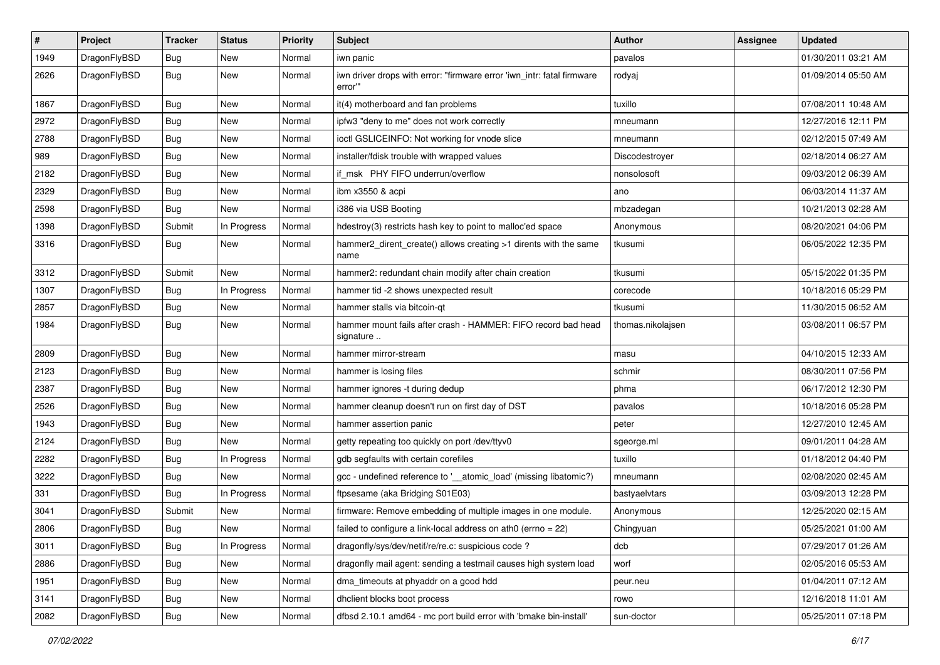| $\vert$ # | Project      | <b>Tracker</b> | <b>Status</b> | <b>Priority</b> | <b>Subject</b>                                                                   | <b>Author</b>     | <b>Assignee</b> | <b>Updated</b>      |
|-----------|--------------|----------------|---------------|-----------------|----------------------------------------------------------------------------------|-------------------|-----------------|---------------------|
| 1949      | DragonFlyBSD | <b>Bug</b>     | New           | Normal          | iwn panic                                                                        | pavalos           |                 | 01/30/2011 03:21 AM |
| 2626      | DragonFlyBSD | Bug            | New           | Normal          | iwn driver drops with error: "firmware error 'iwn_intr: fatal firmware<br>error" | rodyaj            |                 | 01/09/2014 05:50 AM |
| 1867      | DragonFlyBSD | <b>Bug</b>     | <b>New</b>    | Normal          | it(4) motherboard and fan problems                                               | tuxillo           |                 | 07/08/2011 10:48 AM |
| 2972      | DragonFlyBSD | Bug            | New           | Normal          | ipfw3 "deny to me" does not work correctly                                       | mneumann          |                 | 12/27/2016 12:11 PM |
| 2788      | DragonFlyBSD | <b>Bug</b>     | New           | Normal          | ioctl GSLICEINFO: Not working for vnode slice                                    | mneumann          |                 | 02/12/2015 07:49 AM |
| 989       | DragonFlyBSD | Bug            | <b>New</b>    | Normal          | installer/fdisk trouble with wrapped values                                      | Discodestroyer    |                 | 02/18/2014 06:27 AM |
| 2182      | DragonFlyBSD | Bug            | <b>New</b>    | Normal          | if msk PHY FIFO underrun/overflow                                                | nonsolosoft       |                 | 09/03/2012 06:39 AM |
| 2329      | DragonFlyBSD | Bug            | <b>New</b>    | Normal          | ibm x3550 & acpi                                                                 | ano               |                 | 06/03/2014 11:37 AM |
| 2598      | DragonFlyBSD | Bug            | <b>New</b>    | Normal          | i386 via USB Booting                                                             | mbzadegan         |                 | 10/21/2013 02:28 AM |
| 1398      | DragonFlyBSD | Submit         | In Progress   | Normal          | hdestroy(3) restricts hash key to point to malloc'ed space                       | Anonymous         |                 | 08/20/2021 04:06 PM |
| 3316      | DragonFlyBSD | Bug            | New           | Normal          | hammer2_dirent_create() allows creating >1 dirents with the same<br>name         | tkusumi           |                 | 06/05/2022 12:35 PM |
| 3312      | DragonFlyBSD | Submit         | New           | Normal          | hammer2: redundant chain modify after chain creation                             | tkusumi           |                 | 05/15/2022 01:35 PM |
| 1307      | DragonFlyBSD | Bug            | In Progress   | Normal          | hammer tid -2 shows unexpected result                                            | corecode          |                 | 10/18/2016 05:29 PM |
| 2857      | DragonFlyBSD | <b>Bug</b>     | New           | Normal          | hammer stalls via bitcoin-qt                                                     | tkusumi           |                 | 11/30/2015 06:52 AM |
| 1984      | DragonFlyBSD | Bug            | New           | Normal          | hammer mount fails after crash - HAMMER: FIFO record bad head<br>signature       | thomas.nikolajsen |                 | 03/08/2011 06:57 PM |
| 2809      | DragonFlyBSD | <b>Bug</b>     | <b>New</b>    | Normal          | hammer mirror-stream                                                             | masu              |                 | 04/10/2015 12:33 AM |
| 2123      | DragonFlyBSD | Bug            | New           | Normal          | hammer is losing files                                                           | schmir            |                 | 08/30/2011 07:56 PM |
| 2387      | DragonFlyBSD | <b>Bug</b>     | <b>New</b>    | Normal          | hammer ignores -t during dedup                                                   | phma              |                 | 06/17/2012 12:30 PM |
| 2526      | DragonFlyBSD | <b>Bug</b>     | New           | Normal          | hammer cleanup doesn't run on first day of DST                                   | pavalos           |                 | 10/18/2016 05:28 PM |
| 1943      | DragonFlyBSD | Bug            | <b>New</b>    | Normal          | hammer assertion panic                                                           | peter             |                 | 12/27/2010 12:45 AM |
| 2124      | DragonFlyBSD | Bug            | New           | Normal          | getty repeating too quickly on port /dev/ttyv0                                   | sgeorge.ml        |                 | 09/01/2011 04:28 AM |
| 2282      | DragonFlyBSD | Bug            | In Progress   | Normal          | gdb segfaults with certain corefiles                                             | tuxillo           |                 | 01/18/2012 04:40 PM |
| 3222      | DragonFlyBSD | Bug            | New           | Normal          | gcc - undefined reference to '__atomic_load' (missing libatomic?)                | mneumann          |                 | 02/08/2020 02:45 AM |
| 331       | DragonFlyBSD | <b>Bug</b>     | In Progress   | Normal          | ftpsesame (aka Bridging S01E03)                                                  | bastyaelvtars     |                 | 03/09/2013 12:28 PM |
| 3041      | DragonFlyBSD | Submit         | New           | Normal          | firmware: Remove embedding of multiple images in one module.                     | Anonymous         |                 | 12/25/2020 02:15 AM |
| 2806      | DragonFlyBSD | Bug            | <b>New</b>    | Normal          | failed to configure a link-local address on ath0 (errno = 22)                    | Chingyuan         |                 | 05/25/2021 01:00 AM |
| 3011      | DragonFlyBSD | Bug            | In Progress   | Normal          | dragonfly/sys/dev/netif/re/re.c: suspicious code?                                | dcb               |                 | 07/29/2017 01:26 AM |
| 2886      | DragonFlyBSD | Bug            | New           | Normal          | dragonfly mail agent: sending a testmail causes high system load                 | worf              |                 | 02/05/2016 05:53 AM |
| 1951      | DragonFlyBSD | Bug            | New           | Normal          | dma_timeouts at phyaddr on a good hdd                                            | peur.neu          |                 | 01/04/2011 07:12 AM |
| 3141      | DragonFlyBSD | Bug            | New           | Normal          | dhclient blocks boot process                                                     | rowo              |                 | 12/16/2018 11:01 AM |
| 2082      | DragonFlyBSD | <b>Bug</b>     | New           | Normal          | dfbsd 2.10.1 amd64 - mc port build error with 'bmake bin-install'                | sun-doctor        |                 | 05/25/2011 07:18 PM |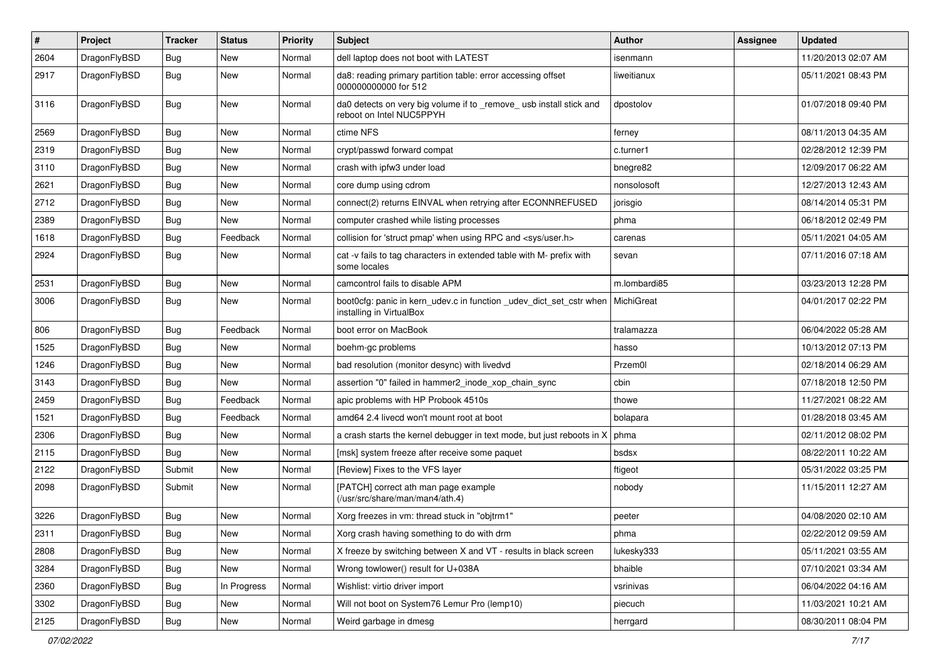| $\pmb{\#}$ | Project      | <b>Tracker</b> | <b>Status</b> | <b>Priority</b> | <b>Subject</b>                                                                                  | Author       | Assignee | <b>Updated</b>      |
|------------|--------------|----------------|---------------|-----------------|-------------------------------------------------------------------------------------------------|--------------|----------|---------------------|
| 2604       | DragonFlyBSD | <b>Bug</b>     | New           | Normal          | dell laptop does not boot with LATEST                                                           | isenmann     |          | 11/20/2013 02:07 AM |
| 2917       | DragonFlyBSD | Bug            | <b>New</b>    | Normal          | da8: reading primary partition table: error accessing offset<br>000000000000 for 512            | liweitianux  |          | 05/11/2021 08:43 PM |
| 3116       | DragonFlyBSD | Bug            | New           | Normal          | da0 detects on very big volume if to _remove_ usb install stick and<br>reboot on Intel NUC5PPYH | dpostolov    |          | 01/07/2018 09:40 PM |
| 2569       | DragonFlyBSD | <b>Bug</b>     | New           | Normal          | ctime NFS                                                                                       | ferney       |          | 08/11/2013 04:35 AM |
| 2319       | DragonFlyBSD | <b>Bug</b>     | New           | Normal          | crypt/passwd forward compat                                                                     | c.turner1    |          | 02/28/2012 12:39 PM |
| 3110       | DragonFlyBSD | <b>Bug</b>     | New           | Normal          | crash with ipfw3 under load                                                                     | bnegre82     |          | 12/09/2017 06:22 AM |
| 2621       | DragonFlyBSD | <b>Bug</b>     | New           | Normal          | core dump using cdrom                                                                           | nonsolosoft  |          | 12/27/2013 12:43 AM |
| 2712       | DragonFlyBSD | <b>Bug</b>     | New           | Normal          | connect(2) returns EINVAL when retrying after ECONNREFUSED                                      | jorisgio     |          | 08/14/2014 05:31 PM |
| 2389       | DragonFlyBSD | <b>Bug</b>     | New           | Normal          | computer crashed while listing processes                                                        | phma         |          | 06/18/2012 02:49 PM |
| 1618       | DragonFlyBSD | <b>Bug</b>     | Feedback      | Normal          | collision for 'struct pmap' when using RPC and <sys user.h=""></sys>                            | carenas      |          | 05/11/2021 04:05 AM |
| 2924       | DragonFlyBSD | Bug            | <b>New</b>    | Normal          | cat -v fails to tag characters in extended table with M- prefix with<br>some locales            | sevan        |          | 07/11/2016 07:18 AM |
| 2531       | DragonFlyBSD | <b>Bug</b>     | <b>New</b>    | Normal          | camcontrol fails to disable APM                                                                 | m.lombardi85 |          | 03/23/2013 12:28 PM |
| 3006       | DragonFlyBSD | <b>Bug</b>     | New           | Normal          | boot0cfg: panic in kern_udev.c in function _udev_dict_set_cstr when<br>installing in VirtualBox | MichiGreat   |          | 04/01/2017 02:22 PM |
| 806        | DragonFlyBSD | Bug            | Feedback      | Normal          | boot error on MacBook                                                                           | tralamazza   |          | 06/04/2022 05:28 AM |
| 1525       | DragonFlyBSD | Bug            | <b>New</b>    | Normal          | boehm-gc problems                                                                               | hasso        |          | 10/13/2012 07:13 PM |
| 1246       | DragonFlyBSD | <b>Bug</b>     | New           | Normal          | bad resolution (monitor desync) with livedvd                                                    | Przem0l      |          | 02/18/2014 06:29 AM |
| 3143       | DragonFlyBSD | <b>Bug</b>     | <b>New</b>    | Normal          | assertion "0" failed in hammer2_inode_xop_chain_sync                                            | cbin         |          | 07/18/2018 12:50 PM |
| 2459       | DragonFlyBSD | <b>Bug</b>     | Feedback      | Normal          | apic problems with HP Probook 4510s                                                             | thowe        |          | 11/27/2021 08:22 AM |
| 1521       | DragonFlyBSD | Bug            | Feedback      | Normal          | amd64 2.4 livecd won't mount root at boot                                                       | bolapara     |          | 01/28/2018 03:45 AM |
| 2306       | DragonFlyBSD | <b>Bug</b>     | New           | Normal          | a crash starts the kernel debugger in text mode, but just reboots in X                          | phma         |          | 02/11/2012 08:02 PM |
| 2115       | DragonFlyBSD | <b>Bug</b>     | New           | Normal          | [msk] system freeze after receive some paquet                                                   | bsdsx        |          | 08/22/2011 10:22 AM |
| 2122       | DragonFlyBSD | Submit         | <b>New</b>    | Normal          | [Review] Fixes to the VFS layer                                                                 | ftigeot      |          | 05/31/2022 03:25 PM |
| 2098       | DragonFlyBSD | Submit         | New           | Normal          | [PATCH] correct ath man page example<br>(/usr/src/share/man/man4/ath.4)                         | nobody       |          | 11/15/2011 12:27 AM |
| 3226       | DragonFlyBSD | <b>Bug</b>     | New           | Normal          | Xorg freezes in vm: thread stuck in "objtrm1"                                                   | peeter       |          | 04/08/2020 02:10 AM |
| 2311       | DragonFlyBSD | Bug            | New           | Normal          | Xorg crash having something to do with drm                                                      | phma         |          | 02/22/2012 09:59 AM |
| 2808       | DragonFlyBSD | Bug            | New           | Normal          | X freeze by switching between X and VT - results in black screen                                | lukesky333   |          | 05/11/2021 03:55 AM |
| 3284       | DragonFlyBSD | <b>Bug</b>     | New           | Normal          | Wrong towlower() result for U+038A                                                              | bhaible      |          | 07/10/2021 03:34 AM |
| 2360       | DragonFlyBSD | <b>Bug</b>     | In Progress   | Normal          | Wishlist: virtio driver import                                                                  | vsrinivas    |          | 06/04/2022 04:16 AM |
| 3302       | DragonFlyBSD | Bug            | New           | Normal          | Will not boot on System76 Lemur Pro (lemp10)                                                    | piecuch      |          | 11/03/2021 10:21 AM |
| 2125       | DragonFlyBSD | Bug            | New           | Normal          | Weird garbage in dmesg                                                                          | herrgard     |          | 08/30/2011 08:04 PM |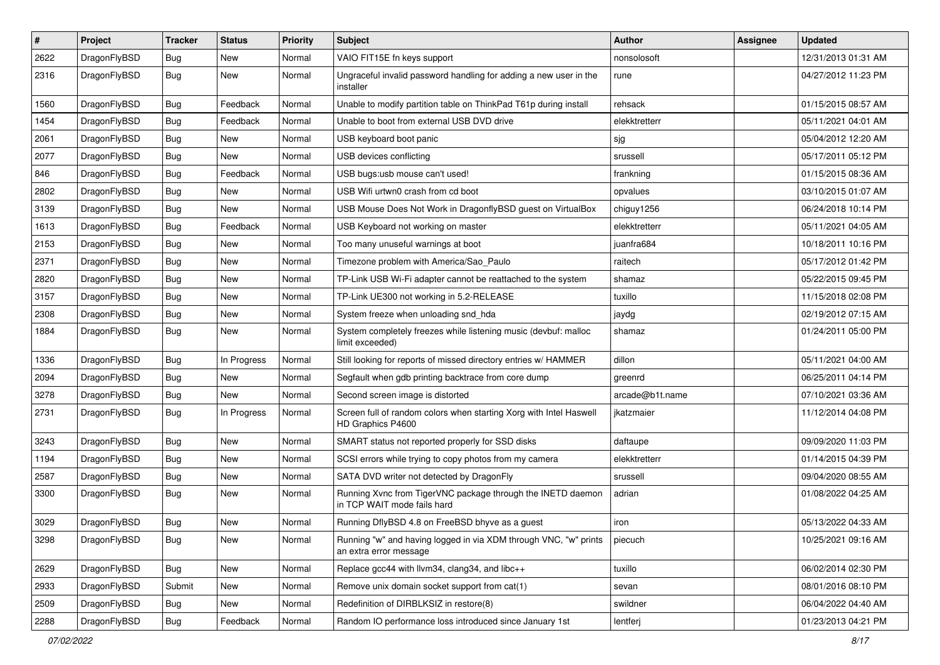| $\sharp$ | Project      | <b>Tracker</b> | <b>Status</b> | <b>Priority</b> | Subject                                                                                    | <b>Author</b>   | Assignee | <b>Updated</b>      |
|----------|--------------|----------------|---------------|-----------------|--------------------------------------------------------------------------------------------|-----------------|----------|---------------------|
| 2622     | DragonFlyBSD | Bug            | New           | Normal          | VAIO FIT15E fn keys support                                                                | nonsolosoft     |          | 12/31/2013 01:31 AM |
| 2316     | DragonFlyBSD | Bug            | New           | Normal          | Ungraceful invalid password handling for adding a new user in the<br>installer             | rune            |          | 04/27/2012 11:23 PM |
| 1560     | DragonFlyBSD | Bug            | Feedback      | Normal          | Unable to modify partition table on ThinkPad T61p during install                           | rehsack         |          | 01/15/2015 08:57 AM |
| 1454     | DragonFlyBSD | Bug            | Feedback      | Normal          | Unable to boot from external USB DVD drive                                                 | elekktretterr   |          | 05/11/2021 04:01 AM |
| 2061     | DragonFlyBSD | Bug            | New           | Normal          | USB keyboard boot panic                                                                    | sjg             |          | 05/04/2012 12:20 AM |
| 2077     | DragonFlyBSD | Bug            | New           | Normal          | USB devices conflicting                                                                    | srussell        |          | 05/17/2011 05:12 PM |
| 846      | DragonFlyBSD | Bug            | Feedback      | Normal          | USB bugs:usb mouse can't used!                                                             | frankning       |          | 01/15/2015 08:36 AM |
| 2802     | DragonFlyBSD | Bug            | New           | Normal          | USB Wifi urtwn0 crash from cd boot                                                         | opvalues        |          | 03/10/2015 01:07 AM |
| 3139     | DragonFlyBSD | Bug            | New           | Normal          | USB Mouse Does Not Work in DragonflyBSD guest on VirtualBox                                | chiguy1256      |          | 06/24/2018 10:14 PM |
| 1613     | DragonFlyBSD | Bug            | Feedback      | Normal          | USB Keyboard not working on master                                                         | elekktretterr   |          | 05/11/2021 04:05 AM |
| 2153     | DragonFlyBSD | Bug            | New           | Normal          | Too many unuseful warnings at boot                                                         | juanfra684      |          | 10/18/2011 10:16 PM |
| 2371     | DragonFlyBSD | Bug            | <b>New</b>    | Normal          | Timezone problem with America/Sao Paulo                                                    | raitech         |          | 05/17/2012 01:42 PM |
| 2820     | DragonFlyBSD | Bug            | <b>New</b>    | Normal          | TP-Link USB Wi-Fi adapter cannot be reattached to the system                               | shamaz          |          | 05/22/2015 09:45 PM |
| 3157     | DragonFlyBSD | Bug            | New           | Normal          | TP-Link UE300 not working in 5.2-RELEASE                                                   | tuxillo         |          | 11/15/2018 02:08 PM |
| 2308     | DragonFlyBSD | Bug            | New           | Normal          | System freeze when unloading snd hda                                                       | jaydg           |          | 02/19/2012 07:15 AM |
| 1884     | DragonFlyBSD | Bug            | <b>New</b>    | Normal          | System completely freezes while listening music (devbuf: malloc<br>limit exceeded)         | shamaz          |          | 01/24/2011 05:00 PM |
| 1336     | DragonFlyBSD | Bug            | In Progress   | Normal          | Still looking for reports of missed directory entries w/ HAMMER                            | dillon          |          | 05/11/2021 04:00 AM |
| 2094     | DragonFlyBSD | Bug            | New           | Normal          | Segfault when gdb printing backtrace from core dump                                        | greenrd         |          | 06/25/2011 04:14 PM |
| 3278     | DragonFlyBSD | <b>Bug</b>     | <b>New</b>    | Normal          | Second screen image is distorted                                                           | arcade@b1t.name |          | 07/10/2021 03:36 AM |
| 2731     | DragonFlyBSD | Bug            | In Progress   | Normal          | Screen full of random colors when starting Xorg with Intel Haswell<br>HD Graphics P4600    | jkatzmaier      |          | 11/12/2014 04:08 PM |
| 3243     | DragonFlyBSD | Bug            | <b>New</b>    | Normal          | SMART status not reported properly for SSD disks                                           | daftaupe        |          | 09/09/2020 11:03 PM |
| 1194     | DragonFlyBSD | Bug            | New           | Normal          | SCSI errors while trying to copy photos from my camera                                     | elekktretterr   |          | 01/14/2015 04:39 PM |
| 2587     | DragonFlyBSD | Bug            | <b>New</b>    | Normal          | SATA DVD writer not detected by DragonFly                                                  | srussell        |          | 09/04/2020 08:55 AM |
| 3300     | DragonFlyBSD | Bug            | New           | Normal          | Running Xvnc from TigerVNC package through the INETD daemon<br>in TCP WAIT mode fails hard | adrian          |          | 01/08/2022 04:25 AM |
| 3029     | DragonFlyBSD | Bug            | New           | Normal          | Running DflyBSD 4.8 on FreeBSD bhyve as a guest                                            | iron            |          | 05/13/2022 04:33 AM |
| 3298     | DragonFlyBSD | <b>Bug</b>     | New           | Normal          | Running "w" and having logged in via XDM through VNC, "w" prints<br>an extra error message | piecuch         |          | 10/25/2021 09:16 AM |
| 2629     | DragonFlyBSD | <b>Bug</b>     | New           | Normal          | Replace gcc44 with llvm34, clang34, and libc++                                             | tuxillo         |          | 06/02/2014 02:30 PM |
| 2933     | DragonFlyBSD | Submit         | <b>New</b>    | Normal          | Remove unix domain socket support from cat(1)                                              | sevan           |          | 08/01/2016 08:10 PM |
| 2509     | DragonFlyBSD | <b>Bug</b>     | New           | Normal          | Redefinition of DIRBLKSIZ in restore(8)                                                    | swildner        |          | 06/04/2022 04:40 AM |
| 2288     | DragonFlyBSD | <b>Bug</b>     | Feedback      | Normal          | Random IO performance loss introduced since January 1st                                    | lentferj        |          | 01/23/2013 04:21 PM |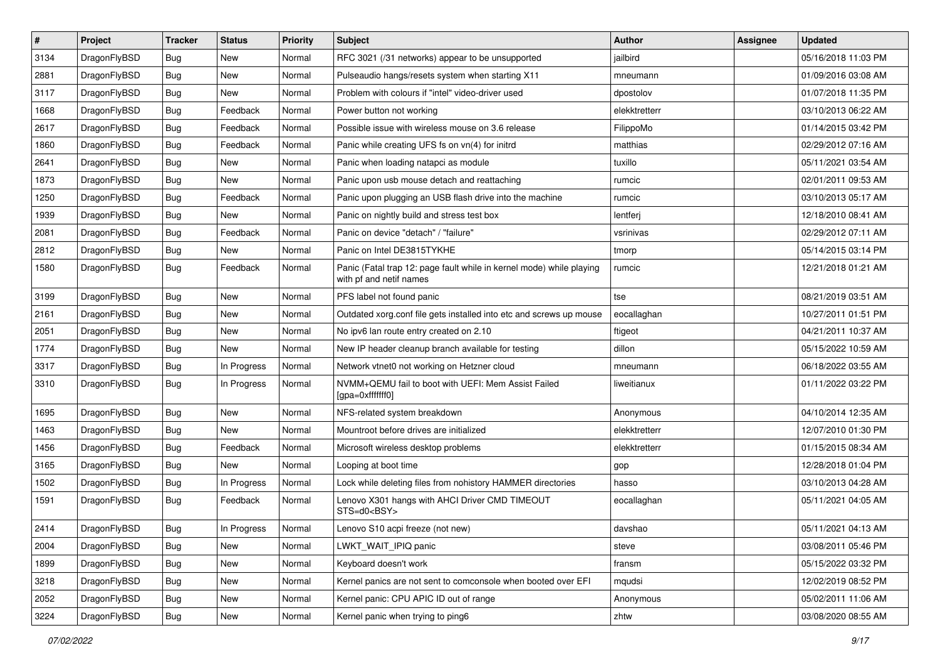| $\sharp$ | Project      | <b>Tracker</b> | <b>Status</b> | <b>Priority</b> | Subject                                                                                         | Author        | Assignee | <b>Updated</b>      |
|----------|--------------|----------------|---------------|-----------------|-------------------------------------------------------------------------------------------------|---------------|----------|---------------------|
| 3134     | DragonFlyBSD | Bug            | <b>New</b>    | Normal          | RFC 3021 (/31 networks) appear to be unsupported                                                | jailbird      |          | 05/16/2018 11:03 PM |
| 2881     | DragonFlyBSD | Bug            | <b>New</b>    | Normal          | Pulseaudio hangs/resets system when starting X11                                                | mneumann      |          | 01/09/2016 03:08 AM |
| 3117     | DragonFlyBSD | <b>Bug</b>     | New           | Normal          | Problem with colours if "intel" video-driver used                                               | dpostolov     |          | 01/07/2018 11:35 PM |
| 1668     | DragonFlyBSD | <b>Bug</b>     | Feedback      | Normal          | Power button not working                                                                        | elekktretterr |          | 03/10/2013 06:22 AM |
| 2617     | DragonFlyBSD | Bug            | Feedback      | Normal          | Possible issue with wireless mouse on 3.6 release                                               | FilippoMo     |          | 01/14/2015 03:42 PM |
| 1860     | DragonFlyBSD | Bug            | Feedback      | Normal          | Panic while creating UFS fs on vn(4) for initrd                                                 | matthias      |          | 02/29/2012 07:16 AM |
| 2641     | DragonFlyBSD | <b>Bug</b>     | <b>New</b>    | Normal          | Panic when loading natapci as module                                                            | tuxillo       |          | 05/11/2021 03:54 AM |
| 1873     | DragonFlyBSD | <b>Bug</b>     | <b>New</b>    | Normal          | Panic upon usb mouse detach and reattaching                                                     | rumcic        |          | 02/01/2011 09:53 AM |
| 1250     | DragonFlyBSD | <b>Bug</b>     | Feedback      | Normal          | Panic upon plugging an USB flash drive into the machine                                         | rumcic        |          | 03/10/2013 05:17 AM |
| 1939     | DragonFlyBSD | Bug            | <b>New</b>    | Normal          | Panic on nightly build and stress test box                                                      | lentferj      |          | 12/18/2010 08:41 AM |
| 2081     | DragonFlyBSD | <b>Bug</b>     | Feedback      | Normal          | Panic on device "detach" / "failure"                                                            | vsrinivas     |          | 02/29/2012 07:11 AM |
| 2812     | DragonFlyBSD | Bug            | <b>New</b>    | Normal          | Panic on Intel DE3815TYKHE                                                                      | tmorp         |          | 05/14/2015 03:14 PM |
| 1580     | DragonFlyBSD | Bug            | Feedback      | Normal          | Panic (Fatal trap 12: page fault while in kernel mode) while playing<br>with pf and netif names | rumcic        |          | 12/21/2018 01:21 AM |
| 3199     | DragonFlyBSD | Bug            | <b>New</b>    | Normal          | PFS label not found panic                                                                       | tse           |          | 08/21/2019 03:51 AM |
| 2161     | DragonFlyBSD | <b>Bug</b>     | <b>New</b>    | Normal          | Outdated xorg.conf file gets installed into etc and screws up mouse                             | eocallaghan   |          | 10/27/2011 01:51 PM |
| 2051     | DragonFlyBSD | <b>Bug</b>     | <b>New</b>    | Normal          | No ipv6 lan route entry created on 2.10                                                         | ftigeot       |          | 04/21/2011 10:37 AM |
| 1774     | DragonFlyBSD | <b>Bug</b>     | <b>New</b>    | Normal          | New IP header cleanup branch available for testing                                              | dillon        |          | 05/15/2022 10:59 AM |
| 3317     | DragonFlyBSD | <b>Bug</b>     | In Progress   | Normal          | Network vtnet0 not working on Hetzner cloud                                                     | mneumann      |          | 06/18/2022 03:55 AM |
| 3310     | DragonFlyBSD | <b>Bug</b>     | In Progress   | Normal          | NVMM+QEMU fail to boot with UEFI: Mem Assist Failed<br>[gpa=0xfffffff0]                         | liweitianux   |          | 01/11/2022 03:22 PM |
| 1695     | DragonFlyBSD | <b>Bug</b>     | <b>New</b>    | Normal          | NFS-related system breakdown                                                                    | Anonymous     |          | 04/10/2014 12:35 AM |
| 1463     | DragonFlyBSD | <b>Bug</b>     | <b>New</b>    | Normal          | Mountroot before drives are initialized                                                         | elekktretterr |          | 12/07/2010 01:30 PM |
| 1456     | DragonFlyBSD | <b>Bug</b>     | Feedback      | Normal          | Microsoft wireless desktop problems                                                             | elekktretterr |          | 01/15/2015 08:34 AM |
| 3165     | DragonFlyBSD | <b>Bug</b>     | <b>New</b>    | Normal          | Looping at boot time                                                                            | gop           |          | 12/28/2018 01:04 PM |
| 1502     | DragonFlyBSD | <b>Bug</b>     | In Progress   | Normal          | Lock while deleting files from nohistory HAMMER directories                                     | hasso         |          | 03/10/2013 04:28 AM |
| 1591     | DragonFlyBSD | <b>Bug</b>     | Feedback      | Normal          | Lenovo X301 hangs with AHCI Driver CMD TIMEOUT<br>STS=d0 <bsy></bsy>                            | eocallaghan   |          | 05/11/2021 04:05 AM |
| 2414     | DragonFlyBSD | Bug            | In Progress   | Normal          | Lenovo S10 acpi freeze (not new)                                                                | davshao       |          | 05/11/2021 04:13 AM |
| 2004     | DragonFlyBSD | <b>Bug</b>     | New           | Normal          | LWKT WAIT IPIQ panic                                                                            | steve         |          | 03/08/2011 05:46 PM |
| 1899     | DragonFlyBSD | Bug            | New           | Normal          | Keyboard doesn't work                                                                           | fransm        |          | 05/15/2022 03:32 PM |
| 3218     | DragonFlyBSD | <b>Bug</b>     | New           | Normal          | Kernel panics are not sent to comconsole when booted over EFI                                   | mqudsi        |          | 12/02/2019 08:52 PM |
| 2052     | DragonFlyBSD | <b>Bug</b>     | New           | Normal          | Kernel panic: CPU APIC ID out of range                                                          | Anonymous     |          | 05/02/2011 11:06 AM |
| 3224     | DragonFlyBSD | <b>Bug</b>     | New           | Normal          | Kernel panic when trying to ping6                                                               | zhtw          |          | 03/08/2020 08:55 AM |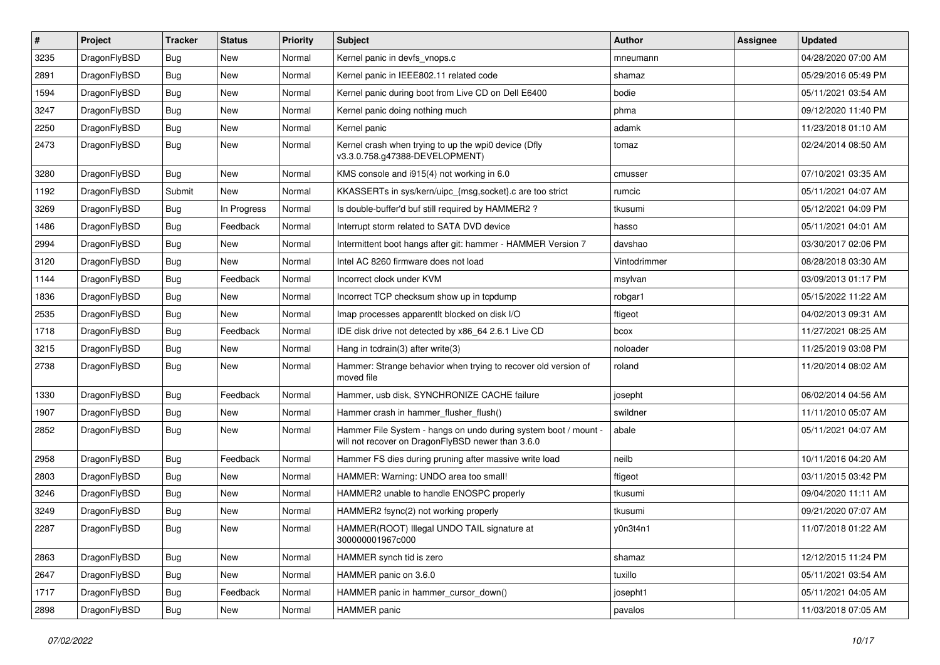| $\pmb{\#}$ | Project      | <b>Tracker</b> | <b>Status</b> | <b>Priority</b> | Subject                                                                                                              | <b>Author</b> | Assignee | <b>Updated</b>      |
|------------|--------------|----------------|---------------|-----------------|----------------------------------------------------------------------------------------------------------------------|---------------|----------|---------------------|
| 3235       | DragonFlyBSD | Bug            | <b>New</b>    | Normal          | Kernel panic in devfs vnops.c                                                                                        | mneumann      |          | 04/28/2020 07:00 AM |
| 2891       | DragonFlyBSD | Bug            | <b>New</b>    | Normal          | Kernel panic in IEEE802.11 related code                                                                              | shamaz        |          | 05/29/2016 05:49 PM |
| 1594       | DragonFlyBSD | <b>Bug</b>     | <b>New</b>    | Normal          | Kernel panic during boot from Live CD on Dell E6400                                                                  | bodie         |          | 05/11/2021 03:54 AM |
| 3247       | DragonFlyBSD | Bug            | <b>New</b>    | Normal          | Kernel panic doing nothing much                                                                                      | phma          |          | 09/12/2020 11:40 PM |
| 2250       | DragonFlyBSD | <b>Bug</b>     | <b>New</b>    | Normal          | Kernel panic                                                                                                         | adamk         |          | 11/23/2018 01:10 AM |
| 2473       | DragonFlyBSD | Bug            | <b>New</b>    | Normal          | Kernel crash when trying to up the wpi0 device (Dfly<br>v3.3.0.758.g47388-DEVELOPMENT)                               | tomaz         |          | 02/24/2014 08:50 AM |
| 3280       | DragonFlyBSD | <b>Bug</b>     | <b>New</b>    | Normal          | KMS console and i915(4) not working in 6.0                                                                           | cmusser       |          | 07/10/2021 03:35 AM |
| 1192       | DragonFlyBSD | Submit         | <b>New</b>    | Normal          | KKASSERTs in sys/kern/uipc_{msg,socket}.c are too strict                                                             | rumcic        |          | 05/11/2021 04:07 AM |
| 3269       | DragonFlyBSD | <b>Bug</b>     | In Progress   | Normal          | Is double-buffer'd buf still required by HAMMER2 ?                                                                   | tkusumi       |          | 05/12/2021 04:09 PM |
| 1486       | DragonFlyBSD | <b>Bug</b>     | Feedback      | Normal          | Interrupt storm related to SATA DVD device                                                                           | hasso         |          | 05/11/2021 04:01 AM |
| 2994       | DragonFlyBSD | Bug            | <b>New</b>    | Normal          | Intermittent boot hangs after git: hammer - HAMMER Version 7                                                         | davshao       |          | 03/30/2017 02:06 PM |
| 3120       | DragonFlyBSD | <b>Bug</b>     | New           | Normal          | Intel AC 8260 firmware does not load                                                                                 | Vintodrimmer  |          | 08/28/2018 03:30 AM |
| 1144       | DragonFlyBSD | <b>Bug</b>     | Feedback      | Normal          | Incorrect clock under KVM                                                                                            | msylvan       |          | 03/09/2013 01:17 PM |
| 1836       | DragonFlyBSD | <b>Bug</b>     | <b>New</b>    | Normal          | Incorrect TCP checksum show up in tcpdump                                                                            | robgar1       |          | 05/15/2022 11:22 AM |
| 2535       | DragonFlyBSD | Bug            | <b>New</b>    | Normal          | Imap processes apparentlt blocked on disk I/O                                                                        | ftigeot       |          | 04/02/2013 09:31 AM |
| 1718       | DragonFlyBSD | Bug            | Feedback      | Normal          | IDE disk drive not detected by x86 64 2.6.1 Live CD                                                                  | bcox          |          | 11/27/2021 08:25 AM |
| 3215       | DragonFlyBSD | <b>Bug</b>     | <b>New</b>    | Normal          | Hang in tcdrain(3) after write(3)                                                                                    | noloader      |          | 11/25/2019 03:08 PM |
| 2738       | DragonFlyBSD | Bug            | <b>New</b>    | Normal          | Hammer: Strange behavior when trying to recover old version of<br>moved file                                         | roland        |          | 11/20/2014 08:02 AM |
| 1330       | DragonFlyBSD | <b>Bug</b>     | Feedback      | Normal          | Hammer, usb disk, SYNCHRONIZE CACHE failure                                                                          | josepht       |          | 06/02/2014 04:56 AM |
| 1907       | DragonFlyBSD | Bug            | <b>New</b>    | Normal          | Hammer crash in hammer flusher flush()                                                                               | swildner      |          | 11/11/2010 05:07 AM |
| 2852       | DragonFlyBSD | Bug            | New           | Normal          | Hammer File System - hangs on undo during system boot / mount -<br>will not recover on DragonFlyBSD newer than 3.6.0 | abale         |          | 05/11/2021 04:07 AM |
| 2958       | DragonFlyBSD | Bug            | Feedback      | Normal          | Hammer FS dies during pruning after massive write load                                                               | neilb         |          | 10/11/2016 04:20 AM |
| 2803       | DragonFlyBSD | <b>Bug</b>     | <b>New</b>    | Normal          | HAMMER: Warning: UNDO area too small!                                                                                | ftigeot       |          | 03/11/2015 03:42 PM |
| 3246       | DragonFlyBSD | Bug            | <b>New</b>    | Normal          | HAMMER2 unable to handle ENOSPC properly                                                                             | tkusumi       |          | 09/04/2020 11:11 AM |
| 3249       | DragonFlyBSD | <b>Bug</b>     | <b>New</b>    | Normal          | HAMMER2 fsync(2) not working properly                                                                                | tkusumi       |          | 09/21/2020 07:07 AM |
| 2287       | DragonFlyBSD | Bug            | <b>New</b>    | Normal          | HAMMER(ROOT) Illegal UNDO TAIL signature at<br>300000001967c000                                                      | v0n3t4n1      |          | 11/07/2018 01:22 AM |
| 2863       | DragonFlyBSD | <b>Bug</b>     | New           | Normal          | HAMMER synch tid is zero                                                                                             | shamaz        |          | 12/12/2015 11:24 PM |
| 2647       | DragonFlyBSD | <b>Bug</b>     | New           | Normal          | HAMMER panic on 3.6.0                                                                                                | tuxillo       |          | 05/11/2021 03:54 AM |
| 1717       | DragonFlyBSD | Bug            | Feedback      | Normal          | HAMMER panic in hammer_cursor_down()                                                                                 | josepht1      |          | 05/11/2021 04:05 AM |
| 2898       | DragonFlyBSD | Bug            | New           | Normal          | HAMMER panic                                                                                                         | pavalos       |          | 11/03/2018 07:05 AM |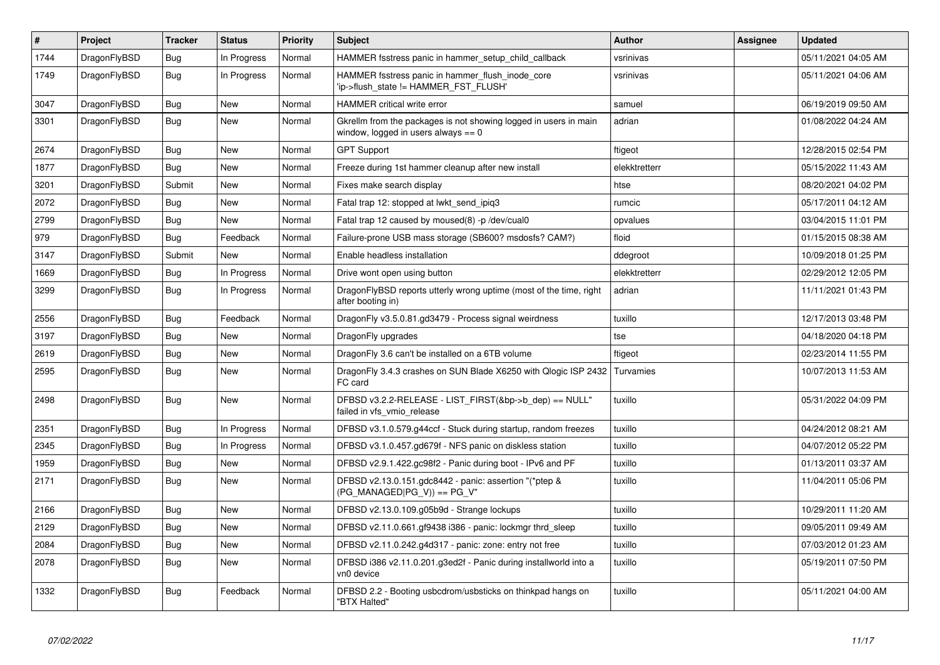| $\vert$ # | Project      | <b>Tracker</b> | <b>Status</b> | <b>Priority</b> | <b>Subject</b>                                                                                            | <b>Author</b> | Assignee | <b>Updated</b>      |
|-----------|--------------|----------------|---------------|-----------------|-----------------------------------------------------------------------------------------------------------|---------------|----------|---------------------|
| 1744      | DragonFlyBSD | Bug            | In Progress   | Normal          | HAMMER fsstress panic in hammer setup child callback                                                      | vsrinivas     |          | 05/11/2021 04:05 AM |
| 1749      | DragonFlyBSD | <b>Bug</b>     | In Progress   | Normal          | HAMMER fsstress panic in hammer flush inode core<br>'ip->flush state != HAMMER FST FLUSH'                 | vsrinivas     |          | 05/11/2021 04:06 AM |
| 3047      | DragonFlyBSD | Bug            | New           | Normal          | <b>HAMMER</b> critical write error                                                                        | samuel        |          | 06/19/2019 09:50 AM |
| 3301      | DragonFlyBSD | Bug            | <b>New</b>    | Normal          | Gkrellm from the packages is not showing logged in users in main<br>window, logged in users always $== 0$ | adrian        |          | 01/08/2022 04:24 AM |
| 2674      | DragonFlyBSD | <b>Bug</b>     | <b>New</b>    | Normal          | <b>GPT Support</b>                                                                                        | ftigeot       |          | 12/28/2015 02:54 PM |
| 1877      | DragonFlyBSD | Bug            | <b>New</b>    | Normal          | Freeze during 1st hammer cleanup after new install                                                        | elekktretterr |          | 05/15/2022 11:43 AM |
| 3201      | DragonFlyBSD | Submit         | <b>New</b>    | Normal          | Fixes make search display                                                                                 | htse          |          | 08/20/2021 04:02 PM |
| 2072      | DragonFlyBSD | <b>Bug</b>     | <b>New</b>    | Normal          | Fatal trap 12: stopped at lwkt_send_ipiq3                                                                 | rumcic        |          | 05/17/2011 04:12 AM |
| 2799      | DragonFlyBSD | Bug            | New           | Normal          | Fatal trap 12 caused by moused(8) -p/dev/cual0                                                            | opvalues      |          | 03/04/2015 11:01 PM |
| 979       | DragonFlyBSD | <b>Bug</b>     | Feedback      | Normal          | Failure-prone USB mass storage (SB600? msdosfs? CAM?)                                                     | floid         |          | 01/15/2015 08:38 AM |
| 3147      | DragonFlyBSD | Submit         | <b>New</b>    | Normal          | Enable headless installation                                                                              | ddegroot      |          | 10/09/2018 01:25 PM |
| 1669      | DragonFlyBSD | Bug            | In Progress   | Normal          | Drive wont open using button                                                                              | elekktretterr |          | 02/29/2012 12:05 PM |
| 3299      | DragonFlyBSD | Bug            | In Progress   | Normal          | DragonFlyBSD reports utterly wrong uptime (most of the time, right<br>after booting in)                   | adrian        |          | 11/11/2021 01:43 PM |
| 2556      | DragonFlyBSD | <b>Bug</b>     | Feedback      | Normal          | DragonFly v3.5.0.81.gd3479 - Process signal weirdness                                                     | tuxillo       |          | 12/17/2013 03:48 PM |
| 3197      | DragonFlyBSD | Bug            | <b>New</b>    | Normal          | DragonFly upgrades                                                                                        | tse           |          | 04/18/2020 04:18 PM |
| 2619      | DragonFlyBSD | Bug            | <b>New</b>    | Normal          | DragonFly 3.6 can't be installed on a 6TB volume                                                          | ftigeot       |          | 02/23/2014 11:55 PM |
| 2595      | DragonFlyBSD | <b>Bug</b>     | New           | Normal          | DragonFly 3.4.3 crashes on SUN Blade X6250 with Qlogic ISP 2432<br>FC card                                | Turvamies     |          | 10/07/2013 11:53 AM |
| 2498      | DragonFlyBSD | <b>Bug</b>     | New           | Normal          | DFBSD v3.2.2-RELEASE - LIST FIRST(&bp->b dep) == NULL"<br>failed in vfs vmio release                      | tuxillo       |          | 05/31/2022 04:09 PM |
| 2351      | DragonFlyBSD | <b>Bug</b>     | In Progress   | Normal          | DFBSD v3.1.0.579.g44ccf - Stuck during startup, random freezes                                            | tuxillo       |          | 04/24/2012 08:21 AM |
| 2345      | DragonFlyBSD | Bug            | In Progress   | Normal          | DFBSD v3.1.0.457.gd679f - NFS panic on diskless station                                                   | tuxillo       |          | 04/07/2012 05:22 PM |
| 1959      | DragonFlyBSD | Bug            | New           | Normal          | DFBSD v2.9.1.422.gc98f2 - Panic during boot - IPv6 and PF                                                 | tuxillo       |          | 01/13/2011 03:37 AM |
| 2171      | DragonFlyBSD | <b>Bug</b>     | <b>New</b>    | Normal          | DFBSD v2.13.0.151.gdc8442 - panic: assertion "(*ptep &<br>$(PG_MANAGED PG_V)$ == $PG_V"$                  | tuxillo       |          | 11/04/2011 05:06 PM |
| 2166      | DragonFlyBSD | Bug            | New           | Normal          | DFBSD v2.13.0.109.g05b9d - Strange lockups                                                                | tuxillo       |          | 10/29/2011 11:20 AM |
| 2129      | DragonFlyBSD | Bug            | <b>New</b>    | Normal          | DFBSD v2.11.0.661.gf9438 i386 - panic: lockmgr thrd sleep                                                 | tuxillo       |          | 09/05/2011 09:49 AM |
| 2084      | DragonFlyBSD | <b>Bug</b>     | <b>New</b>    | Normal          | DFBSD v2.11.0.242.g4d317 - panic: zone: entry not free                                                    | tuxillo       |          | 07/03/2012 01:23 AM |
| 2078      | DragonFlyBSD | <b>Bug</b>     | New           | Normal          | DFBSD i386 v2.11.0.201.g3ed2f - Panic during installworld into a<br>vn0 device                            | tuxillo       |          | 05/19/2011 07:50 PM |
| 1332      | DragonFlyBSD | Bug            | Feedback      | Normal          | DFBSD 2.2 - Booting usbcdrom/usbsticks on thinkpad hangs on<br>"BTX Halted"                               | tuxillo       |          | 05/11/2021 04:00 AM |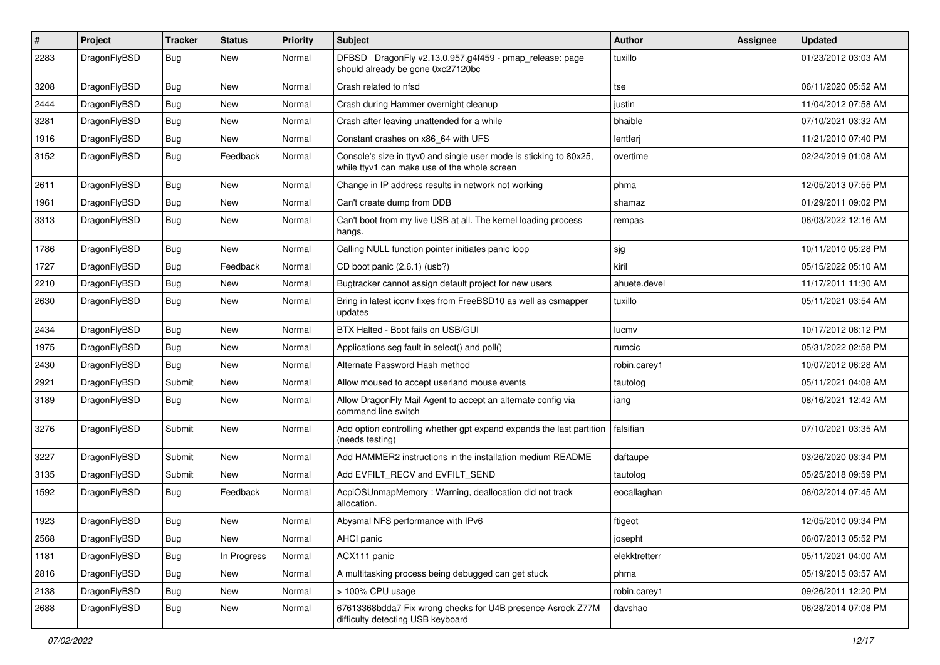| $\sharp$ | Project      | <b>Tracker</b> | <b>Status</b> | <b>Priority</b> | Subject                                                                                                            | Author        | Assignee | <b>Updated</b>      |
|----------|--------------|----------------|---------------|-----------------|--------------------------------------------------------------------------------------------------------------------|---------------|----------|---------------------|
| 2283     | DragonFlyBSD | Bug            | <b>New</b>    | Normal          | DFBSD DragonFly v2.13.0.957.g4f459 - pmap_release: page<br>should already be gone 0xc27120bc                       | tuxillo       |          | 01/23/2012 03:03 AM |
| 3208     | DragonFlyBSD | Bug            | <b>New</b>    | Normal          | Crash related to nfsd                                                                                              | tse           |          | 06/11/2020 05:52 AM |
| 2444     | DragonFlyBSD | <b>Bug</b>     | <b>New</b>    | Normal          | Crash during Hammer overnight cleanup                                                                              | justin        |          | 11/04/2012 07:58 AM |
| 3281     | DragonFlyBSD | Bug            | <b>New</b>    | Normal          | Crash after leaving unattended for a while                                                                         | bhaible       |          | 07/10/2021 03:32 AM |
| 1916     | DragonFlyBSD | <b>Bug</b>     | New           | Normal          | Constant crashes on x86_64 with UFS                                                                                | lentferj      |          | 11/21/2010 07:40 PM |
| 3152     | DragonFlyBSD | <b>Bug</b>     | Feedback      | Normal          | Console's size in ttyv0 and single user mode is sticking to 80x25,<br>while ttyv1 can make use of the whole screen | overtime      |          | 02/24/2019 01:08 AM |
| 2611     | DragonFlyBSD | <b>Bug</b>     | <b>New</b>    | Normal          | Change in IP address results in network not working                                                                | phma          |          | 12/05/2013 07:55 PM |
| 1961     | DragonFlyBSD | <b>Bug</b>     | <b>New</b>    | Normal          | Can't create dump from DDB                                                                                         | shamaz        |          | 01/29/2011 09:02 PM |
| 3313     | DragonFlyBSD | <b>Bug</b>     | <b>New</b>    | Normal          | Can't boot from my live USB at all. The kernel loading process<br>hangs.                                           | rempas        |          | 06/03/2022 12:16 AM |
| 1786     | DragonFlyBSD | <b>Bug</b>     | <b>New</b>    | Normal          | Calling NULL function pointer initiates panic loop                                                                 | sjg           |          | 10/11/2010 05:28 PM |
| 1727     | DragonFlyBSD | <b>Bug</b>     | Feedback      | Normal          | CD boot panic (2.6.1) (usb?)                                                                                       | kiril         |          | 05/15/2022 05:10 AM |
| 2210     | DragonFlyBSD | <b>Bug</b>     | <b>New</b>    | Normal          | Bugtracker cannot assign default project for new users                                                             | ahuete.devel  |          | 11/17/2011 11:30 AM |
| 2630     | DragonFlyBSD | <b>Bug</b>     | New           | Normal          | Bring in latest iconv fixes from FreeBSD10 as well as csmapper<br>updates                                          | tuxillo       |          | 05/11/2021 03:54 AM |
| 2434     | DragonFlyBSD | <b>Bug</b>     | New           | Normal          | BTX Halted - Boot fails on USB/GUI                                                                                 | lucmv         |          | 10/17/2012 08:12 PM |
| 1975     | DragonFlyBSD | <b>Bug</b>     | <b>New</b>    | Normal          | Applications seg fault in select() and poll()                                                                      | rumcic        |          | 05/31/2022 02:58 PM |
| 2430     | DragonFlyBSD | <b>Bug</b>     | New           | Normal          | Alternate Password Hash method                                                                                     | robin.carey1  |          | 10/07/2012 06:28 AM |
| 2921     | DragonFlyBSD | Submit         | <b>New</b>    | Normal          | Allow moused to accept userland mouse events                                                                       | tautolog      |          | 05/11/2021 04:08 AM |
| 3189     | DragonFlyBSD | Bug            | New           | Normal          | Allow DragonFly Mail Agent to accept an alternate config via<br>command line switch                                | iang          |          | 08/16/2021 12:42 AM |
| 3276     | DragonFlyBSD | Submit         | New           | Normal          | Add option controlling whether gpt expand expands the last partition<br>(needs testing)                            | falsifian     |          | 07/10/2021 03:35 AM |
| 3227     | DragonFlyBSD | Submit         | <b>New</b>    | Normal          | Add HAMMER2 instructions in the installation medium README                                                         | daftaupe      |          | 03/26/2020 03:34 PM |
| 3135     | DragonFlyBSD | Submit         | New           | Normal          | Add EVFILT_RECV and EVFILT_SEND                                                                                    | tautolog      |          | 05/25/2018 09:59 PM |
| 1592     | DragonFlyBSD | <b>Bug</b>     | Feedback      | Normal          | AcpiOSUnmapMemory: Warning, deallocation did not track<br>allocation.                                              | eocallaghan   |          | 06/02/2014 07:45 AM |
| 1923     | DragonFlyBSD | Bug            | New           | Normal          | Abysmal NFS performance with IPv6                                                                                  | ftigeot       |          | 12/05/2010 09:34 PM |
| 2568     | DragonFlyBSD | <b>Bug</b>     | New           | Normal          | AHCI panic                                                                                                         | josepht       |          | 06/07/2013 05:52 PM |
| 1181     | DragonFlyBSD | <b>Bug</b>     | In Progress   | Normal          | ACX111 panic                                                                                                       | elekktretterr |          | 05/11/2021 04:00 AM |
| 2816     | DragonFlyBSD | <b>Bug</b>     | New           | Normal          | A multitasking process being debugged can get stuck                                                                | phma          |          | 05/19/2015 03:57 AM |
| 2138     | DragonFlyBSD | <b>Bug</b>     | New           | Normal          | > 100% CPU usage                                                                                                   | robin.carey1  |          | 09/26/2011 12:20 PM |
| 2688     | DragonFlyBSD | <b>Bug</b>     | New           | Normal          | 67613368bdda7 Fix wrong checks for U4B presence Asrock Z77M<br>difficulty detecting USB keyboard                   | davshao       |          | 06/28/2014 07:08 PM |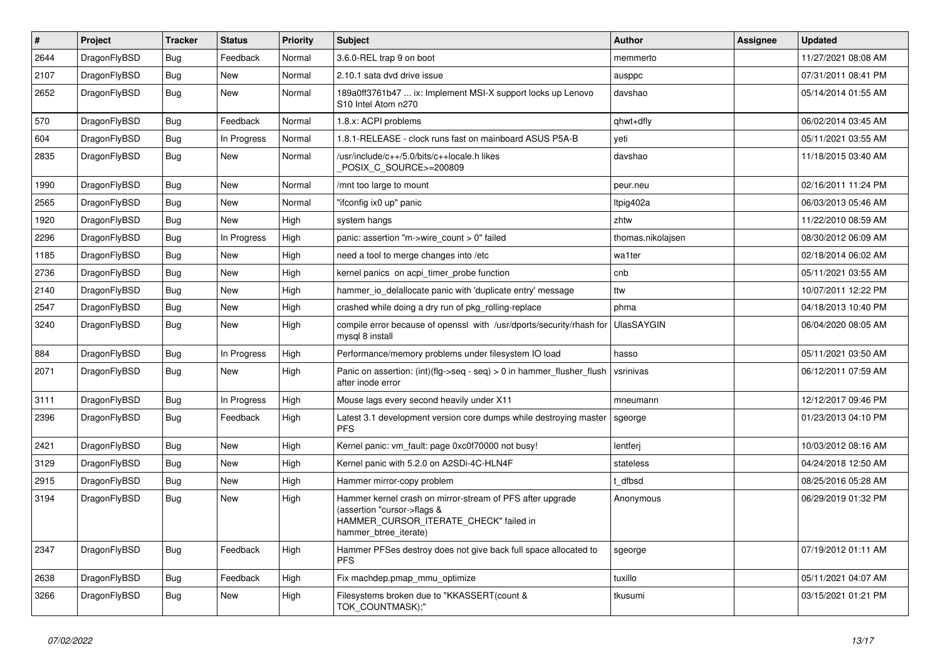| $\vert$ # | Project      | <b>Tracker</b> | <b>Status</b> | <b>Priority</b> | <b>Subject</b>                                                                                                                                              | <b>Author</b>     | Assignee | <b>Updated</b>      |
|-----------|--------------|----------------|---------------|-----------------|-------------------------------------------------------------------------------------------------------------------------------------------------------------|-------------------|----------|---------------------|
| 2644      | DragonFlyBSD | Bug            | Feedback      | Normal          | 3.6.0-REL trap 9 on boot                                                                                                                                    | memmerto          |          | 11/27/2021 08:08 AM |
| 2107      | DragonFlyBSD | <b>Bug</b>     | <b>New</b>    | Normal          | 2.10.1 sata dvd drive issue                                                                                                                                 | ausppc            |          | 07/31/2011 08:41 PM |
| 2652      | DragonFlyBSD | <b>Bug</b>     | New           | Normal          | 189a0ff3761b47  ix: Implement MSI-X support locks up Lenovo<br>S <sub>10</sub> Intel Atom n <sub>270</sub>                                                  | davshao           |          | 05/14/2014 01:55 AM |
| 570       | DragonFlyBSD | Bug            | Feedback      | Normal          | 1.8.x: ACPI problems                                                                                                                                        | qhwt+dfly         |          | 06/02/2014 03:45 AM |
| 604       | DragonFlyBSD | Bug            | In Progress   | Normal          | 1.8.1-RELEASE - clock runs fast on mainboard ASUS P5A-B                                                                                                     | yeti              |          | 05/11/2021 03:55 AM |
| 2835      | DragonFlyBSD | Bug            | <b>New</b>    | Normal          | /usr/include/c++/5.0/bits/c++locale.h likes<br>POSIX C SOURCE>=200809                                                                                       | davshao           |          | 11/18/2015 03:40 AM |
| 1990      | DragonFlyBSD | Bug            | <b>New</b>    | Normal          | /mnt too large to mount                                                                                                                                     | peur.neu          |          | 02/16/2011 11:24 PM |
| 2565      | DragonFlyBSD | Bug            | <b>New</b>    | Normal          | "ifconfig ix0 up" panic                                                                                                                                     | Itpig402a         |          | 06/03/2013 05:46 AM |
| 1920      | DragonFlyBSD | Bug            | New           | High            | system hangs                                                                                                                                                | zhtw              |          | 11/22/2010 08:59 AM |
| 2296      | DragonFlyBSD | Bug            | In Progress   | High            | panic: assertion "m->wire count > 0" failed                                                                                                                 | thomas.nikolajsen |          | 08/30/2012 06:09 AM |
| 1185      | DragonFlyBSD | Bug            | New           | High            | need a tool to merge changes into /etc                                                                                                                      | wa1ter            |          | 02/18/2014 06:02 AM |
| 2736      | DragonFlyBSD | Bug            | <b>New</b>    | High            | kernel panics on acpi_timer_probe function                                                                                                                  | cnb               |          | 05/11/2021 03:55 AM |
| 2140      | DragonFlyBSD | Bug            | New           | High            | hammer io delallocate panic with 'duplicate entry' message                                                                                                  | ttw               |          | 10/07/2011 12:22 PM |
| 2547      | DragonFlyBSD | Bug            | New           | High            | crashed while doing a dry run of pkg rolling-replace                                                                                                        | phma              |          | 04/18/2013 10:40 PM |
| 3240      | DragonFlyBSD | <b>Bug</b>     | <b>New</b>    | High            | compile error because of openssl with /usr/dports/security/rhash for<br>mysql 8 install                                                                     | <b>UlasSAYGIN</b> |          | 06/04/2020 08:05 AM |
| 884       | DragonFlyBSD | <b>Bug</b>     | In Progress   | High            | Performance/memory problems under filesystem IO load                                                                                                        | hasso             |          | 05/11/2021 03:50 AM |
| 2071      | DragonFlyBSD | Bug            | <b>New</b>    | High            | Panic on assertion: (int)(flg->seq - seq) > 0 in hammer flusher flush<br>after inode error                                                                  | vsrinivas         |          | 06/12/2011 07:59 AM |
| 3111      | DragonFlyBSD | Bug            | In Progress   | High            | Mouse lags every second heavily under X11                                                                                                                   | mneumann          |          | 12/12/2017 09:46 PM |
| 2396      | DragonFlyBSD | Bug            | Feedback      | High            | Latest 3.1 development version core dumps while destroying master<br><b>PFS</b>                                                                             | sgeorge           |          | 01/23/2013 04:10 PM |
| 2421      | DragonFlyBSD | Bug            | <b>New</b>    | High            | Kernel panic: vm fault: page 0xc0f70000 not busy!                                                                                                           | lentferj          |          | 10/03/2012 08:16 AM |
| 3129      | DragonFlyBSD | Bug            | <b>New</b>    | High            | Kernel panic with 5.2.0 on A2SDi-4C-HLN4F                                                                                                                   | stateless         |          | 04/24/2018 12:50 AM |
| 2915      | DragonFlyBSD | Bug            | <b>New</b>    | High            | Hammer mirror-copy problem                                                                                                                                  | t dfbsd           |          | 08/25/2016 05:28 AM |
| 3194      | DragonFlyBSD | Bug            | <b>New</b>    | High            | Hammer kernel crash on mirror-stream of PFS after upgrade<br>(assertion "cursor->flags &<br>HAMMER_CURSOR_ITERATE_CHECK" failed in<br>hammer btree iterate) | Anonymous         |          | 06/29/2019 01:32 PM |
| 2347      | DragonFlyBSD | <b>Bug</b>     | Feedback      | High            | Hammer PFSes destroy does not give back full space allocated to<br><b>PFS</b>                                                                               | sgeorge           |          | 07/19/2012 01:11 AM |
| 2638      | DragonFlyBSD | <b>Bug</b>     | Feedback      | High            | Fix machdep.pmap mmu optimize                                                                                                                               | tuxillo           |          | 05/11/2021 04:07 AM |
| 3266      | DragonFlyBSD | Bug            | <b>New</b>    | High            | Filesystems broken due to "KKASSERT(count &<br>TOK_COUNTMASK);"                                                                                             | tkusumi           |          | 03/15/2021 01:21 PM |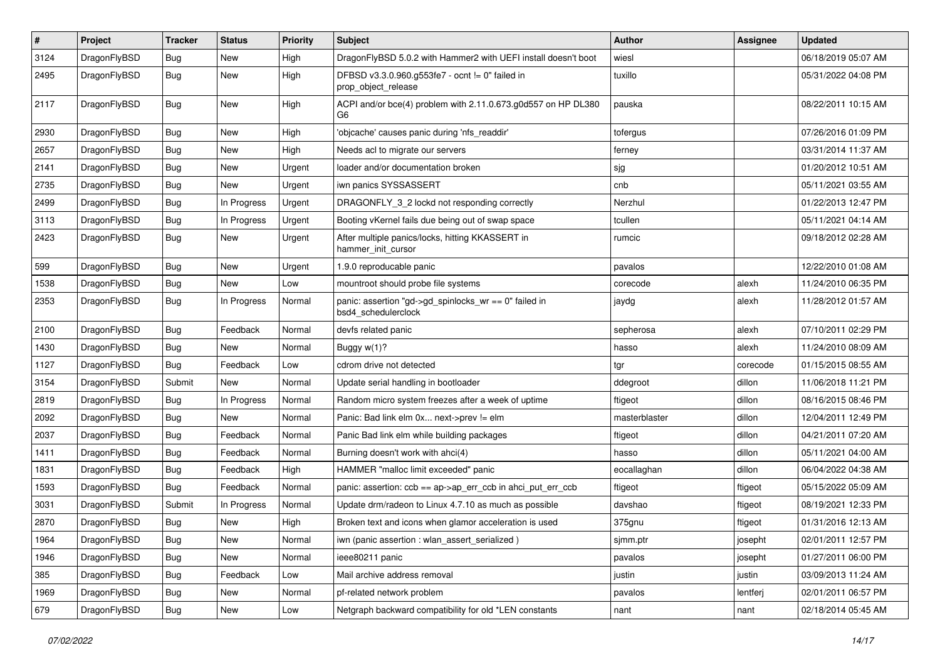| $\vert$ # | Project      | <b>Tracker</b> | <b>Status</b> | <b>Priority</b> | <b>Subject</b>                                                                  | Author        | Assignee | <b>Updated</b>      |
|-----------|--------------|----------------|---------------|-----------------|---------------------------------------------------------------------------------|---------------|----------|---------------------|
| 3124      | DragonFlyBSD | Bug            | <b>New</b>    | High            | DragonFlyBSD 5.0.2 with Hammer2 with UEFI install doesn't boot                  | wiesl         |          | 06/18/2019 05:07 AM |
| 2495      | DragonFlyBSD | Bug            | New           | High            | DFBSD v3.3.0.960.g553fe7 - ocnt != 0" failed in<br>prop object release          | tuxillo       |          | 05/31/2022 04:08 PM |
| 2117      | DragonFlyBSD | Bug            | New           | High            | ACPI and/or bce(4) problem with 2.11.0.673.g0d557 on HP DL380<br>G <sub>6</sub> | pauska        |          | 08/22/2011 10:15 AM |
| 2930      | DragonFlyBSD | Bug            | <b>New</b>    | High            | 'objcache' causes panic during 'nfs readdir'                                    | tofergus      |          | 07/26/2016 01:09 PM |
| 2657      | DragonFlyBSD | Bug            | <b>New</b>    | High            | Needs acl to migrate our servers                                                | ferney        |          | 03/31/2014 11:37 AM |
| 2141      | DragonFlyBSD | Bug            | <b>New</b>    | Urgent          | loader and/or documentation broken                                              | sjg           |          | 01/20/2012 10:51 AM |
| 2735      | DragonFlyBSD | Bug            | New           | Urgent          | iwn panics SYSSASSERT                                                           | cnb           |          | 05/11/2021 03:55 AM |
| 2499      | DragonFlyBSD | Bug            | In Progress   | Urgent          | DRAGONFLY 3 2 lockd not responding correctly                                    | Nerzhul       |          | 01/22/2013 12:47 PM |
| 3113      | DragonFlyBSD | <b>Bug</b>     | In Progress   | Urgent          | Booting vKernel fails due being out of swap space                               | tcullen       |          | 05/11/2021 04:14 AM |
| 2423      | DragonFlyBSD | <b>Bug</b>     | New           | Urgent          | After multiple panics/locks, hitting KKASSERT in<br>hammer init cursor          | rumcic        |          | 09/18/2012 02:28 AM |
| 599       | DragonFlyBSD | <b>Bug</b>     | New           | Urgent          | 1.9.0 reproducable panic                                                        | pavalos       |          | 12/22/2010 01:08 AM |
| 1538      | DragonFlyBSD | Bug            | New           | Low             | mountroot should probe file systems                                             | corecode      | alexh    | 11/24/2010 06:35 PM |
| 2353      | DragonFlyBSD | Bug            | In Progress   | Normal          | panic: assertion "gd->gd_spinlocks_wr == 0" failed in<br>bsd4_schedulerclock    | jaydg         | alexh    | 11/28/2012 01:57 AM |
| 2100      | DragonFlyBSD | Bug            | Feedback      | Normal          | devfs related panic                                                             | sepherosa     | alexh    | 07/10/2011 02:29 PM |
| 1430      | DragonFlyBSD | <b>Bug</b>     | New           | Normal          | Buggy w(1)?                                                                     | hasso         | alexh    | 11/24/2010 08:09 AM |
| 1127      | DragonFlyBSD | Bug            | Feedback      | Low             | cdrom drive not detected                                                        | tgr           | corecode | 01/15/2015 08:55 AM |
| 3154      | DragonFlyBSD | Submit         | New           | Normal          | Update serial handling in bootloader                                            | ddegroot      | dillon   | 11/06/2018 11:21 PM |
| 2819      | DragonFlyBSD | <b>Bug</b>     | In Progress   | Normal          | Random micro system freezes after a week of uptime                              | ftigeot       | dillon   | 08/16/2015 08:46 PM |
| 2092      | DragonFlyBSD | Bug            | <b>New</b>    | Normal          | Panic: Bad link elm 0x next->prev != elm                                        | masterblaster | dillon   | 12/04/2011 12:49 PM |
| 2037      | DragonFlyBSD | <b>Bug</b>     | Feedback      | Normal          | Panic Bad link elm while building packages                                      | ftigeot       | dillon   | 04/21/2011 07:20 AM |
| 1411      | DragonFlyBSD | <b>Bug</b>     | Feedback      | Normal          | Burning doesn't work with ahci(4)                                               | hasso         | dillon   | 05/11/2021 04:00 AM |
| 1831      | DragonFlyBSD | <b>Bug</b>     | Feedback      | High            | HAMMER "malloc limit exceeded" panic                                            | eocallaghan   | dillon   | 06/04/2022 04:38 AM |
| 1593      | DragonFlyBSD | <b>Bug</b>     | Feedback      | Normal          | panic: assertion: ccb == ap->ap_err_ccb in ahci_put_err_ccb                     | ftigeot       | ftigeot  | 05/15/2022 05:09 AM |
| 3031      | DragonFlyBSD | Submit         | In Progress   | Normal          | Update drm/radeon to Linux 4.7.10 as much as possible                           | davshao       | ftigeot  | 08/19/2021 12:33 PM |
| 2870      | DragonFlyBSD | <b>Bug</b>     | New           | High            | Broken text and icons when glamor acceleration is used                          | 375gnu        | ftigeot  | 01/31/2016 12:13 AM |
| 1964      | DragonFlyBSD | <b>Bug</b>     | New           | Normal          | iwn (panic assertion : wlan_assert_serialized)                                  | sjmm.ptr      | josepht  | 02/01/2011 12:57 PM |
| 1946      | DragonFlyBSD | <b>Bug</b>     | New           | Normal          | ieee80211 panic                                                                 | pavalos       | josepht  | 01/27/2011 06:00 PM |
| 385       | DragonFlyBSD | <b>Bug</b>     | Feedback      | Low             | Mail archive address removal                                                    | justin        | justin   | 03/09/2013 11:24 AM |
| 1969      | DragonFlyBSD | <b>Bug</b>     | New           | Normal          | pf-related network problem                                                      | pavalos       | lentferj | 02/01/2011 06:57 PM |
| 679       | DragonFlyBSD | <b>Bug</b>     | New           | Low             | Netgraph backward compatibility for old *LEN constants                          | nant          | nant     | 02/18/2014 05:45 AM |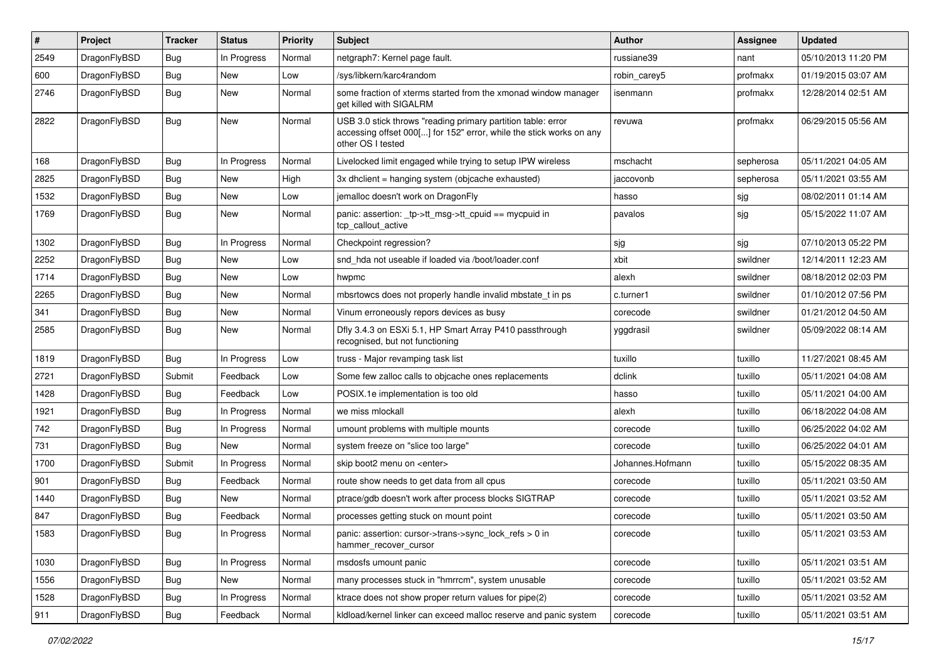| #    | Project      | <b>Tracker</b> | <b>Status</b> | <b>Priority</b> | Subject                                                                                                                                                  | <b>Author</b>    | <b>Assignee</b> | <b>Updated</b>      |
|------|--------------|----------------|---------------|-----------------|----------------------------------------------------------------------------------------------------------------------------------------------------------|------------------|-----------------|---------------------|
| 2549 | DragonFlyBSD | Bug            | In Progress   | Normal          | netgraph7: Kernel page fault.                                                                                                                            | russiane39       | nant            | 05/10/2013 11:20 PM |
| 600  | DragonFlyBSD | Bug            | <b>New</b>    | Low             | /sys/libkern/karc4random                                                                                                                                 | robin carey5     | profmakx        | 01/19/2015 03:07 AM |
| 2746 | DragonFlyBSD | Bug            | New           | Normal          | some fraction of xterms started from the xmonad window manager<br>get killed with SIGALRM                                                                | isenmann         | profmakx        | 12/28/2014 02:51 AM |
| 2822 | DragonFlyBSD | <b>Bug</b>     | <b>New</b>    | Normal          | USB 3.0 stick throws "reading primary partition table: error<br>accessing offset 000[] for 152" error, while the stick works on any<br>other OS I tested | revuwa           | profmakx        | 06/29/2015 05:56 AM |
| 168  | DragonFlyBSD | Bug            | In Progress   | Normal          | Livelocked limit engaged while trying to setup IPW wireless                                                                                              | mschacht         | sepherosa       | 05/11/2021 04:05 AM |
| 2825 | DragonFlyBSD | Bug            | New           | High            | 3x dhclient = hanging system (objcache exhausted)                                                                                                        | jaccovonb        | sepherosa       | 05/11/2021 03:55 AM |
| 1532 | DragonFlyBSD | Bug            | <b>New</b>    | Low             | jemalloc doesn't work on DragonFly                                                                                                                       | hasso            | sjg             | 08/02/2011 01:14 AM |
| 1769 | DragonFlyBSD | Bug            | New           | Normal          | panic: assertion: _tp->tt_msg->tt_cpuid == mycpuid in<br>tcp callout active                                                                              | pavalos          | sjg             | 05/15/2022 11:07 AM |
| 1302 | DragonFlyBSD | Bug            | In Progress   | Normal          | Checkpoint regression?                                                                                                                                   | sjg              | sjg             | 07/10/2013 05:22 PM |
| 2252 | DragonFlyBSD | Bug            | New           | Low             | snd hda not useable if loaded via /boot/loader.conf                                                                                                      | xbit             | swildner        | 12/14/2011 12:23 AM |
| 1714 | DragonFlyBSD | Bug            | <b>New</b>    | Low             | hwpmc                                                                                                                                                    | alexh            | swildner        | 08/18/2012 02:03 PM |
| 2265 | DragonFlyBSD | Bug            | New           | Normal          | mbsrtowcs does not properly handle invalid mbstate t in ps                                                                                               | c.turner1        | swildner        | 01/10/2012 07:56 PM |
| 341  | DragonFlyBSD | Bug            | New           | Normal          | Vinum erroneously repors devices as busy                                                                                                                 | corecode         | swildner        | 01/21/2012 04:50 AM |
| 2585 | DragonFlyBSD | Bug            | New           | Normal          | Dfly 3.4.3 on ESXi 5.1, HP Smart Array P410 passthrough<br>recognised, but not functioning                                                               | yggdrasil        | swildner        | 05/09/2022 08:14 AM |
| 1819 | DragonFlyBSD | Bug            | In Progress   | Low             | truss - Major revamping task list                                                                                                                        | tuxillo          | tuxillo         | 11/27/2021 08:45 AM |
| 2721 | DragonFlyBSD | Submit         | Feedback      | Low             | Some few zalloc calls to objcache ones replacements                                                                                                      | dclink           | tuxillo         | 05/11/2021 04:08 AM |
| 1428 | DragonFlyBSD | <b>Bug</b>     | Feedback      | Low             | POSIX.1e implementation is too old                                                                                                                       | hasso            | tuxillo         | 05/11/2021 04:00 AM |
| 1921 | DragonFlyBSD | Bug            | In Progress   | Normal          | we miss mlockall                                                                                                                                         | alexh            | tuxillo         | 06/18/2022 04:08 AM |
| 742  | DragonFlyBSD | Bug            | In Progress   | Normal          | umount problems with multiple mounts                                                                                                                     | corecode         | tuxillo         | 06/25/2022 04:02 AM |
| 731  | DragonFlyBSD | Bug            | New           | Normal          | system freeze on "slice too large"                                                                                                                       | corecode         | tuxillo         | 06/25/2022 04:01 AM |
| 1700 | DragonFlyBSD | Submit         | In Progress   | Normal          | skip boot2 menu on <enter></enter>                                                                                                                       | Johannes.Hofmann | tuxillo         | 05/15/2022 08:35 AM |
| 901  | DragonFlyBSD | Bug            | Feedback      | Normal          | route show needs to get data from all cpus                                                                                                               | corecode         | tuxillo         | 05/11/2021 03:50 AM |
| 1440 | DragonFlyBSD | Bug            | New           | Normal          | ptrace/gdb doesn't work after process blocks SIGTRAP                                                                                                     | corecode         | tuxillo         | 05/11/2021 03:52 AM |
| 847  | DragonFlyBSD | <b>Bug</b>     | Feedback      | Normal          | processes getting stuck on mount point                                                                                                                   | corecode         | tuxillo         | 05/11/2021 03:50 AM |
| 1583 | DragonFlyBSD | <b>Bug</b>     | In Progress   | Normal          | panic: assertion: cursor->trans->sync_lock_refs > 0 in<br>hammer_recover_cursor                                                                          | corecode         | tuxillo         | 05/11/2021 03:53 AM |
| 1030 | DragonFlyBSD | Bug            | In Progress   | Normal          | msdosfs umount panic                                                                                                                                     | corecode         | tuxillo         | 05/11/2021 03:51 AM |
| 1556 | DragonFlyBSD | <b>Bug</b>     | New           | Normal          | many processes stuck in "hmrrcm", system unusable                                                                                                        | corecode         | tuxillo         | 05/11/2021 03:52 AM |
| 1528 | DragonFlyBSD | Bug            | In Progress   | Normal          | ktrace does not show proper return values for pipe(2)                                                                                                    | corecode         | tuxillo         | 05/11/2021 03:52 AM |
| 911  | DragonFlyBSD | Bug            | Feedback      | Normal          | kldload/kernel linker can exceed malloc reserve and panic system                                                                                         | corecode         | tuxillo         | 05/11/2021 03:51 AM |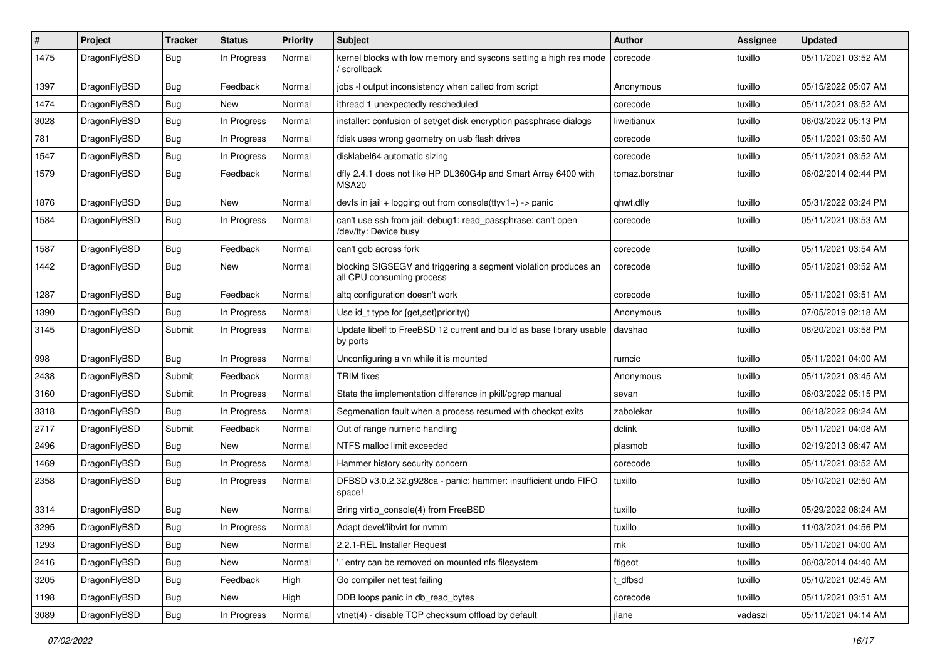| $\sharp$ | Project      | <b>Tracker</b> | <b>Status</b> | <b>Priority</b> | Subject                                                                                      | <b>Author</b>  | Assignee | <b>Updated</b>      |
|----------|--------------|----------------|---------------|-----------------|----------------------------------------------------------------------------------------------|----------------|----------|---------------------|
| 1475     | DragonFlyBSD | Bug            | In Progress   | Normal          | kernel blocks with low memory and syscons setting a high res mode<br>scrollback              | corecode       | tuxillo  | 05/11/2021 03:52 AM |
| 1397     | DragonFlyBSD | Bug            | Feedback      | Normal          | jobs -I output inconsistency when called from script                                         | Anonymous      | tuxillo  | 05/15/2022 05:07 AM |
| 1474     | DragonFlyBSD | <b>Bug</b>     | New           | Normal          | ithread 1 unexpectedly rescheduled                                                           | corecode       | tuxillo  | 05/11/2021 03:52 AM |
| 3028     | DragonFlyBSD | Bug            | In Progress   | Normal          | installer: confusion of set/get disk encryption passphrase dialogs                           | liweitianux    | tuxillo  | 06/03/2022 05:13 PM |
| 781      | DragonFlyBSD | <b>Bug</b>     | In Progress   | Normal          | fdisk uses wrong geometry on usb flash drives                                                | corecode       | tuxillo  | 05/11/2021 03:50 AM |
| 1547     | DragonFlyBSD | <b>Bug</b>     | In Progress   | Normal          | disklabel64 automatic sizing                                                                 | corecode       | tuxillo  | 05/11/2021 03:52 AM |
| 1579     | DragonFlyBSD | Bug            | Feedback      | Normal          | dfly 2.4.1 does not like HP DL360G4p and Smart Array 6400 with<br>MSA20                      | tomaz.borstnar | tuxillo  | 06/02/2014 02:44 PM |
| 1876     | DragonFlyBSD | Bug            | New           | Normal          | devfs in jail + logging out from console(ttyv1+) -> panic                                    | qhwt.dfly      | tuxillo  | 05/31/2022 03:24 PM |
| 1584     | DragonFlyBSD | <b>Bug</b>     | In Progress   | Normal          | can't use ssh from jail: debug1: read_passphrase: can't open<br>/dev/tty: Device busy        | corecode       | tuxillo  | 05/11/2021 03:53 AM |
| 1587     | DragonFlyBSD | Bug            | Feedback      | Normal          | can't gdb across fork                                                                        | corecode       | tuxillo  | 05/11/2021 03:54 AM |
| 1442     | DragonFlyBSD | <b>Bug</b>     | New           | Normal          | blocking SIGSEGV and triggering a segment violation produces an<br>all CPU consuming process | corecode       | tuxillo  | 05/11/2021 03:52 AM |
| 1287     | DragonFlyBSD | Bug            | Feedback      | Normal          | altq configuration doesn't work                                                              | corecode       | tuxillo  | 05/11/2021 03:51 AM |
| 1390     | DragonFlyBSD | <b>Bug</b>     | In Progress   | Normal          | Use id_t type for {get,set}priority()                                                        | Anonymous      | tuxillo  | 07/05/2019 02:18 AM |
| 3145     | DragonFlyBSD | Submit         | In Progress   | Normal          | Update libelf to FreeBSD 12 current and build as base library usable<br>by ports             | davshao        | tuxillo  | 08/20/2021 03:58 PM |
| 998      | DragonFlyBSD | Bug            | In Progress   | Normal          | Unconfiguring a vn while it is mounted                                                       | rumcic         | tuxillo  | 05/11/2021 04:00 AM |
| 2438     | DragonFlyBSD | Submit         | Feedback      | Normal          | <b>TRIM</b> fixes                                                                            | Anonymous      | tuxillo  | 05/11/2021 03:45 AM |
| 3160     | DragonFlyBSD | Submit         | In Progress   | Normal          | State the implementation difference in pkill/pgrep manual                                    | sevan          | tuxillo  | 06/03/2022 05:15 PM |
| 3318     | DragonFlyBSD | Bug            | In Progress   | Normal          | Segmenation fault when a process resumed with checkpt exits                                  | zabolekar      | tuxillo  | 06/18/2022 08:24 AM |
| 2717     | DragonFlyBSD | Submit         | Feedback      | Normal          | Out of range numeric handling                                                                | dclink         | tuxillo  | 05/11/2021 04:08 AM |
| 2496     | DragonFlyBSD | <b>Bug</b>     | New           | Normal          | NTFS malloc limit exceeded                                                                   | plasmob        | tuxillo  | 02/19/2013 08:47 AM |
| 1469     | DragonFlyBSD | Bug            | In Progress   | Normal          | Hammer history security concern                                                              | corecode       | tuxillo  | 05/11/2021 03:52 AM |
| 2358     | DragonFlyBSD | <b>Bug</b>     | In Progress   | Normal          | DFBSD v3.0.2.32.g928ca - panic: hammer: insufficient undo FIFO<br>space!                     | tuxillo        | tuxillo  | 05/10/2021 02:50 AM |
| 3314     | DragonFlyBSD | Bug            | <b>New</b>    | Normal          | Bring virtio_console(4) from FreeBSD                                                         | tuxillo        | tuxillo  | 05/29/2022 08:24 AM |
| 3295     | DragonFlyBSD | Bug            | In Progress   | Normal          | Adapt devel/libvirt for nymm                                                                 | tuxillo        | tuxillo  | 11/03/2021 04:56 PM |
| 1293     | DragonFlyBSD | Bug            | New           | Normal          | 2.2.1-REL Installer Request                                                                  | mk             | tuxillo  | 05/11/2021 04:00 AM |
| 2416     | DragonFlyBSD | Bug            | New           | Normal          | 'entry can be removed on mounted nfs filesystem                                              | ftigeot        | tuxillo  | 06/03/2014 04:40 AM |
| 3205     | DragonFlyBSD | <b>Bug</b>     | Feedback      | High            | Go compiler net test failing                                                                 | t_dfbsd        | tuxillo  | 05/10/2021 02:45 AM |
| 1198     | DragonFlyBSD | Bug            | New           | High            | DDB loops panic in db_read_bytes                                                             | corecode       | tuxillo  | 05/11/2021 03:51 AM |
| 3089     | DragonFlyBSD | <b>Bug</b>     | In Progress   | Normal          | vtnet(4) - disable TCP checksum offload by default                                           | jlane          | vadaszi  | 05/11/2021 04:14 AM |